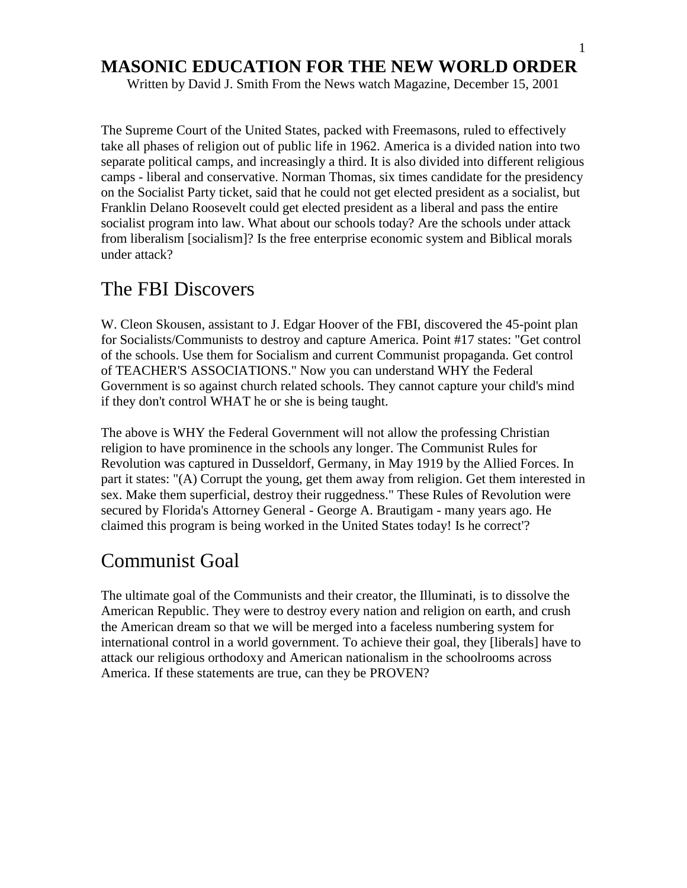Written by David J. Smith From the News watch Magazine, December 15, 2001

The Supreme Court of the United States, packed with Freemasons, ruled to effectively take all phases of religion out of public life in 1962. America is a divided nation into two separate political camps, and increasingly a third. It is also divided into different religious camps - liberal and conservative. Norman Thomas, six times candidate for the presidency on the Socialist Party ticket, said that he could not get elected president as a socialist, but Franklin Delano Roosevelt could get elected president as a liberal and pass the entire socialist program into law. What about our schools today? Are the schools under attack from liberalism [socialism]? Is the free enterprise economic system and Biblical morals under attack?

# The FBI Discovers

W. Cleon Skousen, assistant to J. Edgar Hoover of the FBI, discovered the 45-point plan for Socialists/Communists to destroy and capture America. Point #17 states: "Get control of the schools. Use them for Socialism and current Communist propaganda. Get control of TEACHER'S ASSOCIATIONS." Now you can understand WHY the Federal Government is so against church related schools. They cannot capture your child's mind if they don't control WHAT he or she is being taught.

The above is WHY the Federal Government will not allow the professing Christian religion to have prominence in the schools any longer. The Communist Rules for Revolution was captured in Dusseldorf, Germany, in May 1919 by the Allied Forces. In part it states: "(A) Corrupt the young, get them away from religion. Get them interested in sex. Make them superficial, destroy their ruggedness." These Rules of Revolution were secured by Florida's Attorney General - George A. Brautigam - many years ago. He claimed this program is being worked in the United States today! Is he correct'?

# Communist Goal

The ultimate goal of the Communists and their creator, the Illuminati, is to dissolve the American Republic. They were to destroy every nation and religion on earth, and crush the American dream so that we will be merged into a faceless numbering system for international control in a world government. To achieve their goal, they [liberals] have to attack our religious orthodoxy and American nationalism in the schoolrooms across America. If these statements are true, can they be PROVEN?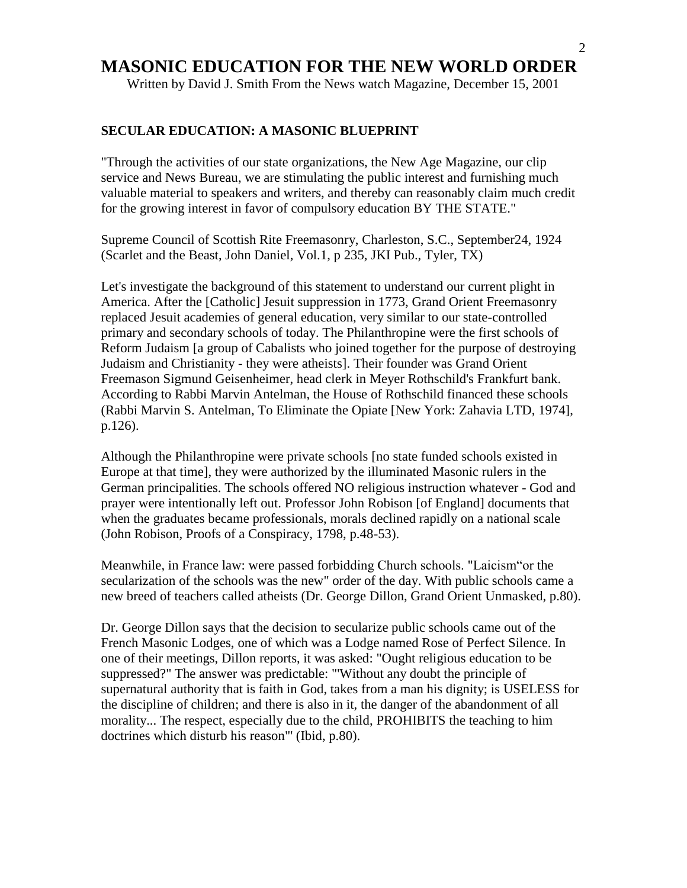Written by David J. Smith From the News watch Magazine, December 15, 2001

#### **SECULAR EDUCATION: A MASONIC BLUEPRINT**

"Through the activities of our state organizations, the New Age Magazine, our clip service and News Bureau, we are stimulating the public interest and furnishing much valuable material to speakers and writers, and thereby can reasonably claim much credit for the growing interest in favor of compulsory education BY THE STATE."

Supreme Council of Scottish Rite Freemasonry, Charleston, S.C., September24, 1924 (Scarlet and the Beast, John Daniel, Vol.1, p 235, JKI Pub., Tyler, TX)

Let's investigate the background of this statement to understand our current plight in America. After the [Catholic] Jesuit suppression in 1773, Grand Orient Freemasonry replaced Jesuit academies of general education, very similar to our state-controlled primary and secondary schools of today. The Philanthropine were the first schools of Reform Judaism [a group of Cabalists who joined together for the purpose of destroying Judaism and Christianity - they were atheists]. Their founder was Grand Orient Freemason Sigmund Geisenheimer, head clerk in Meyer Rothschild's Frankfurt bank. According to Rabbi Marvin Antelman, the House of Rothschild financed these schools (Rabbi Marvin S. Antelman, To Eliminate the Opiate [New York: Zahavia LTD, 1974], p.126).

Although the Philanthropine were private schools [no state funded schools existed in Europe at that time], they were authorized by the illuminated Masonic rulers in the German principalities. The schools offered NO religious instruction whatever - God and prayer were intentionally left out. Professor John Robison [of England] documents that when the graduates became professionals, morals declined rapidly on a national scale (John Robison, Proofs of a Conspiracy, 1798, p.48-53).

Meanwhile, in France law: were passed forbidding Church schools. "Laicism"or the secularization of the schools was the new" order of the day. With public schools came a new breed of teachers called atheists (Dr. George Dillon, Grand Orient Unmasked, p.80).

Dr. George Dillon says that the decision to secularize public schools came out of the French Masonic Lodges, one of which was a Lodge named Rose of Perfect Silence. In one of their meetings, Dillon reports, it was asked: "Ought religious education to be suppressed?" The answer was predictable: "'Without any doubt the principle of supernatural authority that is faith in God, takes from a man his dignity; is USELESS for the discipline of children; and there is also in it, the danger of the abandonment of all morality... The respect, especially due to the child, PROHIBITS the teaching to him doctrines which disturb his reason"' (Ibid, p.80).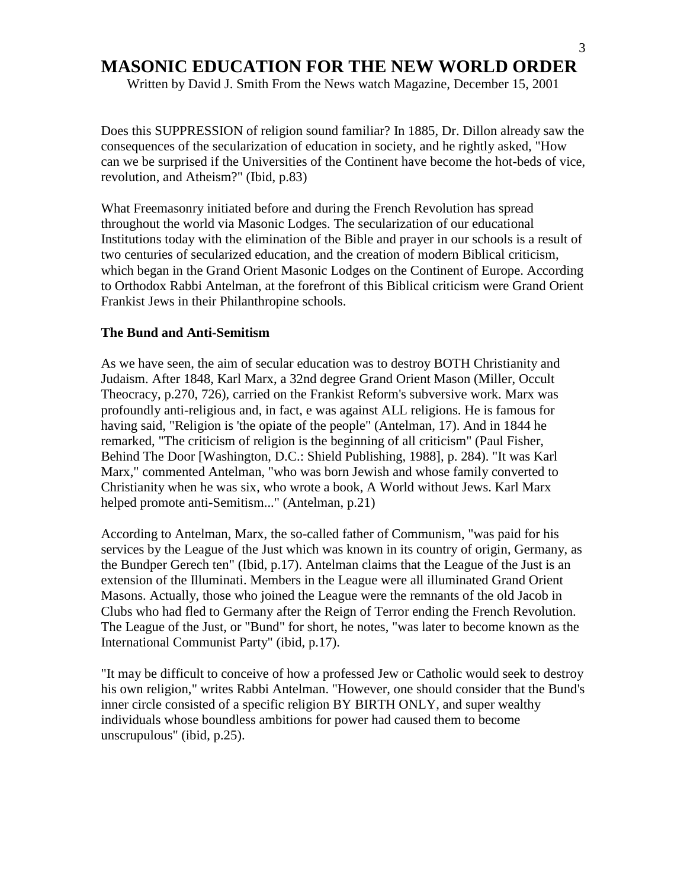Written by David J. Smith From the News watch Magazine, December 15, 2001

Does this SUPPRESSION of religion sound familiar? In 1885, Dr. Dillon already saw the consequences of the secularization of education in society, and he rightly asked, "How can we be surprised if the Universities of the Continent have become the hot-beds of vice, revolution, and Atheism?" (Ibid, p.83)

What Freemasonry initiated before and during the French Revolution has spread throughout the world via Masonic Lodges. The secularization of our educational Institutions today with the elimination of the Bible and prayer in our schools is a result of two centuries of secularized education, and the creation of modern Biblical criticism, which began in the Grand Orient Masonic Lodges on the Continent of Europe. According to Orthodox Rabbi Antelman, at the forefront of this Biblical criticism were Grand Orient Frankist Jews in their Philanthropine schools.

#### **The Bund and Anti-Semitism**

As we have seen, the aim of secular education was to destroy BOTH Christianity and Judaism. After 1848, Karl Marx, a 32nd degree Grand Orient Mason (Miller, Occult Theocracy, p.270, 726), carried on the Frankist Reform's subversive work. Marx was profoundly anti-religious and, in fact, e was against ALL religions. He is famous for having said, "Religion is 'the opiate of the people" (Antelman, 17). And in 1844 he remarked, "The criticism of religion is the beginning of all criticism" (Paul Fisher, Behind The Door [Washington, D.C.: Shield Publishing, 1988], p. 284). "It was Karl Marx," commented Antelman, "who was born Jewish and whose family converted to Christianity when he was six, who wrote a book, A World without Jews. Karl Marx helped promote anti-Semitism..." (Antelman, p.21)

According to Antelman, Marx, the so-called father of Communism, "was paid for his services by the League of the Just which was known in its country of origin, Germany, as the Bundper Gerech ten" (Ibid, p.17). Antelman claims that the League of the Just is an extension of the Illuminati. Members in the League were all illuminated Grand Orient Masons. Actually, those who joined the League were the remnants of the old Jacob in Clubs who had fled to Germany after the Reign of Terror ending the French Revolution. The League of the Just, or "Bund" for short, he notes, "was later to become known as the International Communist Party" (ibid, p.17).

"It may be difficult to conceive of how a professed Jew or Catholic would seek to destroy his own religion," writes Rabbi Antelman. "However, one should consider that the Bund's inner circle consisted of a specific religion BY BIRTH ONLY, and super wealthy individuals whose boundless ambitions for power had caused them to become unscrupulous" (ibid, p.25).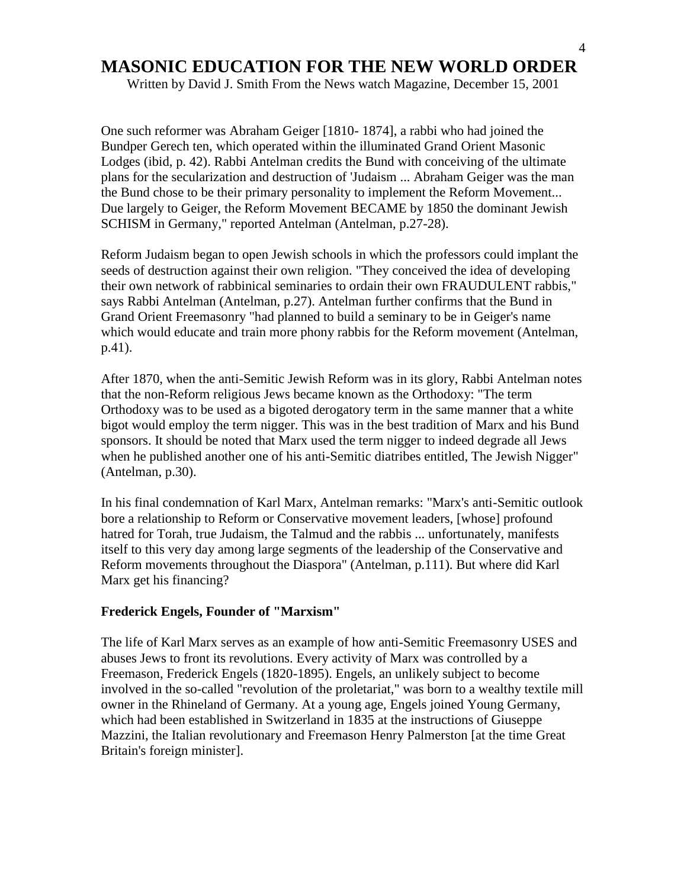Written by David J. Smith From the News watch Magazine, December 15, 2001

One such reformer was Abraham Geiger [1810- 1874], a rabbi who had joined the Bundper Gerech ten, which operated within the illuminated Grand Orient Masonic Lodges (ibid, p. 42). Rabbi Antelman credits the Bund with conceiving of the ultimate plans for the secularization and destruction of 'Judaism ... Abraham Geiger was the man the Bund chose to be their primary personality to implement the Reform Movement... Due largely to Geiger, the Reform Movement BECAME by 1850 the dominant Jewish SCHISM in Germany," reported Antelman (Antelman, p.27-28).

Reform Judaism began to open Jewish schools in which the professors could implant the seeds of destruction against their own religion. "They conceived the idea of developing their own network of rabbinical seminaries to ordain their own FRAUDULENT rabbis," says Rabbi Antelman (Antelman, p.27). Antelman further confirms that the Bund in Grand Orient Freemasonry "had planned to build a seminary to be in Geiger's name which would educate and train more phony rabbis for the Reform movement (Antelman, p.41).

After 1870, when the anti-Semitic Jewish Reform was in its glory, Rabbi Antelman notes that the non-Reform religious Jews became known as the Orthodoxy: "The term Orthodoxy was to be used as a bigoted derogatory term in the same manner that a white bigot would employ the term nigger. This was in the best tradition of Marx and his Bund sponsors. It should be noted that Marx used the term nigger to indeed degrade all Jews when he published another one of his anti-Semitic diatribes entitled, The Jewish Nigger" (Antelman, p.30).

In his final condemnation of Karl Marx, Antelman remarks: "Marx's anti-Semitic outlook bore a relationship to Reform or Conservative movement leaders, [whose] profound hatred for Torah, true Judaism, the Talmud and the rabbis ... unfortunately, manifests itself to this very day among large segments of the leadership of the Conservative and Reform movements throughout the Diaspora" (Antelman, p.111). But where did Karl Marx get his financing?

#### **Frederick Engels, Founder of "Marxism"**

The life of Karl Marx serves as an example of how anti-Semitic Freemasonry USES and abuses Jews to front its revolutions. Every activity of Marx was controlled by a Freemason, Frederick Engels (1820-1895). Engels, an unlikely subject to become involved in the so-called "revolution of the proletariat," was born to a wealthy textile mill owner in the Rhineland of Germany. At a young age, Engels joined Young Germany, which had been established in Switzerland in 1835 at the instructions of Giuseppe Mazzini, the Italian revolutionary and Freemason Henry Palmerston [at the time Great Britain's foreign minister].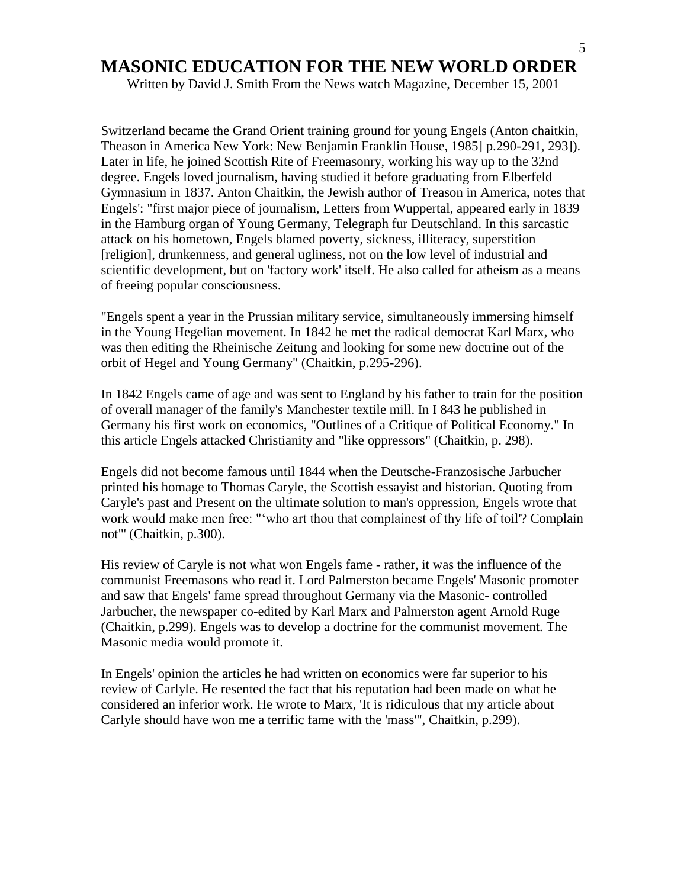Written by David J. Smith From the News watch Magazine, December 15, 2001

Switzerland became the Grand Orient training ground for young Engels (Anton chaitkin, Theason in America New York: New Benjamin Franklin House, 1985] p.290-291, 293]). Later in life, he joined Scottish Rite of Freemasonry, working his way up to the 32nd degree. Engels loved journalism, having studied it before graduating from Elberfeld Gymnasium in 1837. Anton Chaitkin, the Jewish author of Treason in America, notes that Engels': "first major piece of journalism, Letters from Wuppertal, appeared early in 1839 in the Hamburg organ of Young Germany, Telegraph fur Deutschland. In this sarcastic attack on his hometown, Engels blamed poverty, sickness, illiteracy, superstition [religion], drunkenness, and general ugliness, not on the low level of industrial and scientific development, but on 'factory work' itself. He also called for atheism as a means of freeing popular consciousness.

"Engels spent a year in the Prussian military service, simultaneously immersing himself in the Young Hegelian movement. In 1842 he met the radical democrat Karl Marx, who was then editing the Rheinische Zeitung and looking for some new doctrine out of the orbit of Hegel and Young Germany" (Chaitkin, p.295-296).

In 1842 Engels came of age and was sent to England by his father to train for the position of overall manager of the family's Manchester textile mill. In I 843 he published in Germany his first work on economics, "Outlines of a Critique of Political Economy." In this article Engels attacked Christianity and "like oppressors" (Chaitkin, p. 298).

Engels did not become famous until 1844 when the Deutsche-Franzosische Jarbucher printed his homage to Thomas Caryle, the Scottish essayist and historian. Quoting from Caryle's past and Present on the ultimate solution to man's oppression, Engels wrote that work would make men free: ""who art thou that complainest of thy life of toil'? Complain not"' (Chaitkin, p.300).

His review of Caryle is not what won Engels fame - rather, it was the influence of the communist Freemasons who read it. Lord Palmerston became Engels' Masonic promoter and saw that Engels' fame spread throughout Germany via the Masonic- controlled Jarbucher, the newspaper co-edited by Karl Marx and Palmerston agent Arnold Ruge (Chaitkin, p.299). Engels was to develop a doctrine for the communist movement. The Masonic media would promote it.

In Engels' opinion the articles he had written on economics were far superior to his review of Carlyle. He resented the fact that his reputation had been made on what he considered an inferior work. He wrote to Marx, 'It is ridiculous that my article about Carlyle should have won me a terrific fame with the 'mass'", Chaitkin, p.299).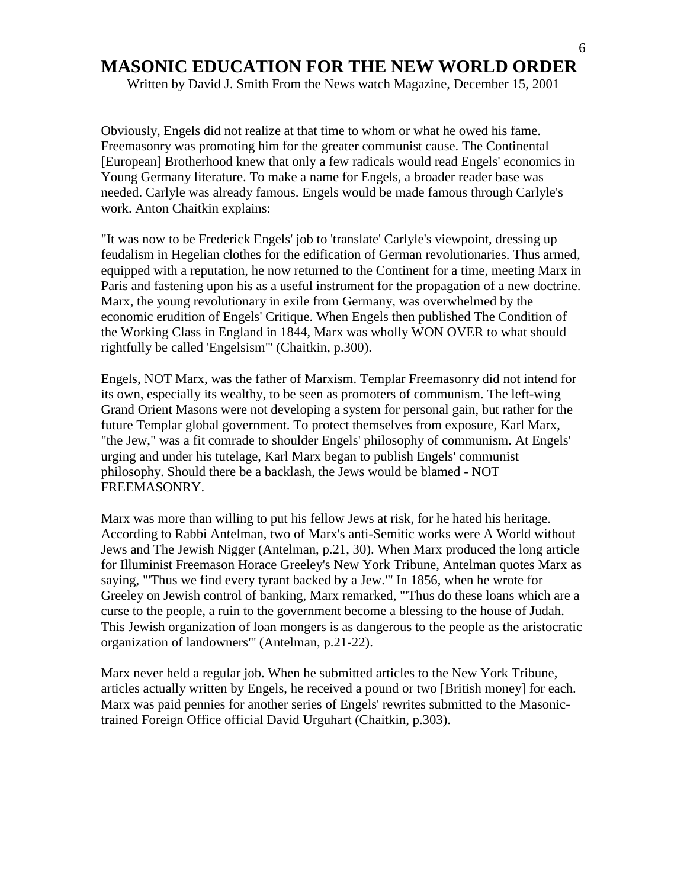Written by David J. Smith From the News watch Magazine, December 15, 2001

Obviously, Engels did not realize at that time to whom or what he owed his fame. Freemasonry was promoting him for the greater communist cause. The Continental [European] Brotherhood knew that only a few radicals would read Engels' economics in Young Germany literature. To make a name for Engels, a broader reader base was needed. Carlyle was already famous. Engels would be made famous through Carlyle's work. Anton Chaitkin explains:

"It was now to be Frederick Engels' job to 'translate' Carlyle's viewpoint, dressing up feudalism in Hegelian clothes for the edification of German revolutionaries. Thus armed, equipped with a reputation, he now returned to the Continent for a time, meeting Marx in Paris and fastening upon his as a useful instrument for the propagation of a new doctrine. Marx, the young revolutionary in exile from Germany, was overwhelmed by the economic erudition of Engels' Critique. When Engels then published The Condition of the Working Class in England in 1844, Marx was wholly WON OVER to what should rightfully be called 'Engelsism"' (Chaitkin, p.300).

Engels, NOT Marx, was the father of Marxism. Templar Freemasonry did not intend for its own, especially its wealthy, to be seen as promoters of communism. The left-wing Grand Orient Masons were not developing a system for personal gain, but rather for the future Templar global government. To protect themselves from exposure, Karl Marx, "the Jew," was a fit comrade to shoulder Engels' philosophy of communism. At Engels' urging and under his tutelage, Karl Marx began to publish Engels' communist philosophy. Should there be a backlash, the Jews would be blamed - NOT FREEMASONRY.

Marx was more than willing to put his fellow Jews at risk, for he hated his heritage. According to Rabbi Antelman, two of Marx's anti-Semitic works were A World without Jews and The Jewish Nigger (Antelman, p.21, 30). When Marx produced the long article for Illuminist Freemason Horace Greeley's New York Tribune, Antelman quotes Marx as saying, "'Thus we find every tyrant backed by a Jew."' In 1856, when he wrote for Greeley on Jewish control of banking, Marx remarked, "'Thus do these loans which are a curse to the people, a ruin to the government become a blessing to the house of Judah. This Jewish organization of loan mongers is as dangerous to the people as the aristocratic organization of landowners"' (Antelman, p.21-22).

Marx never held a regular job. When he submitted articles to the New York Tribune, articles actually written by Engels, he received a pound or two [British money] for each. Marx was paid pennies for another series of Engels' rewrites submitted to the Masonictrained Foreign Office official David Urguhart (Chaitkin, p.303).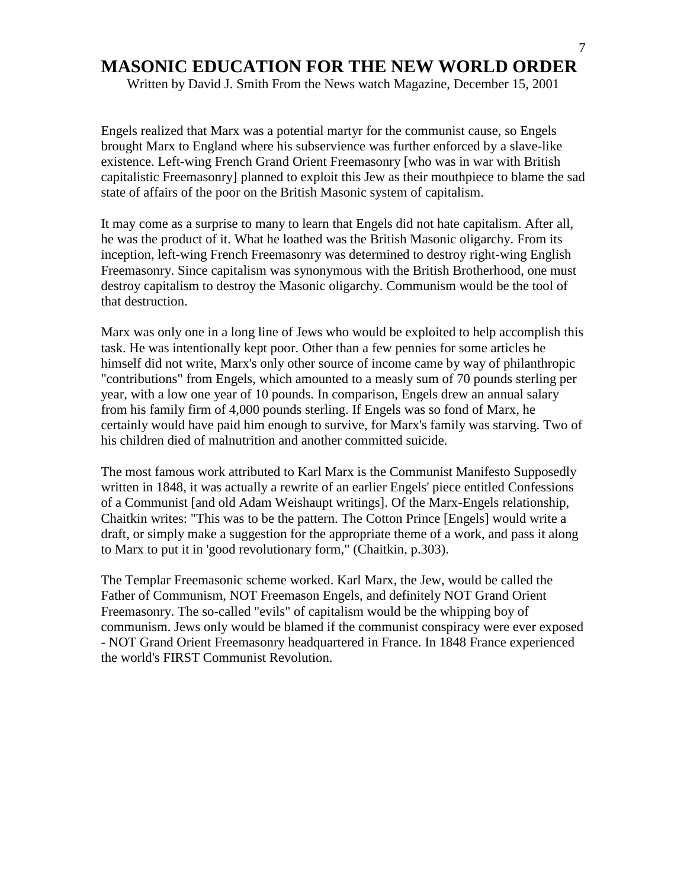Written by David J. Smith From the News watch Magazine, December 15, 2001

Engels realized that Marx was a potential martyr for the communist cause, so Engels brought Marx to England where his subservience was further enforced by a slave-like existence. Left-wing French Grand Orient Freemasonry [who was in war with British capitalistic Freemasonry] planned to exploit this Jew as their mouthpiece to blame the sad state of affairs of the poor on the British Masonic system of capitalism.

It may come as a surprise to many to learn that Engels did not hate capitalism. After all, he was the product of it. What he loathed was the British Masonic oligarchy. From its inception, left-wing French Freemasonry was determined to destroy right-wing English Freemasonry. Since capitalism was synonymous with the British Brotherhood, one must destroy capitalism to destroy the Masonic oligarchy. Communism would be the tool of that destruction.

Marx was only one in a long line of Jews who would be exploited to help accomplish this task. He was intentionally kept poor. Other than a few pennies for some articles he himself did not write, Marx's only other source of income came by way of philanthropic "contributions" from Engels, which amounted to a measly sum of 70 pounds sterling per year, with a low one year of 10 pounds. In comparison, Engels drew an annual salary from his family firm of 4,000 pounds sterling. If Engels was so fond of Marx, he certainly would have paid him enough to survive, for Marx's family was starving. Two of his children died of malnutrition and another committed suicide.

The most famous work attributed to Karl Marx is the Communist Manifesto Supposedly written in 1848, it was actually a rewrite of an earlier Engels' piece entitled Confessions of a Communist [and old Adam Weishaupt writings]. Of the Marx-Engels relationship, Chaitkin writes: "This was to be the pattern. The Cotton Prince [Engels] would write a draft, or simply make a suggestion for the appropriate theme of a work, and pass it along to Marx to put it in 'good revolutionary form," (Chaitkin, p.303).

The Templar Freemasonic scheme worked. Karl Marx, the Jew, would be called the Father of Communism, NOT Freemason Engels, and definitely NOT Grand Orient Freemasonry. The so-called "evils" of capitalism would be the whipping boy of communism. Jews only would be blamed if the communist conspiracy were ever exposed - NOT Grand Orient Freemasonry headquartered in France. In 1848 France experienced the world's FIRST Communist Revolution.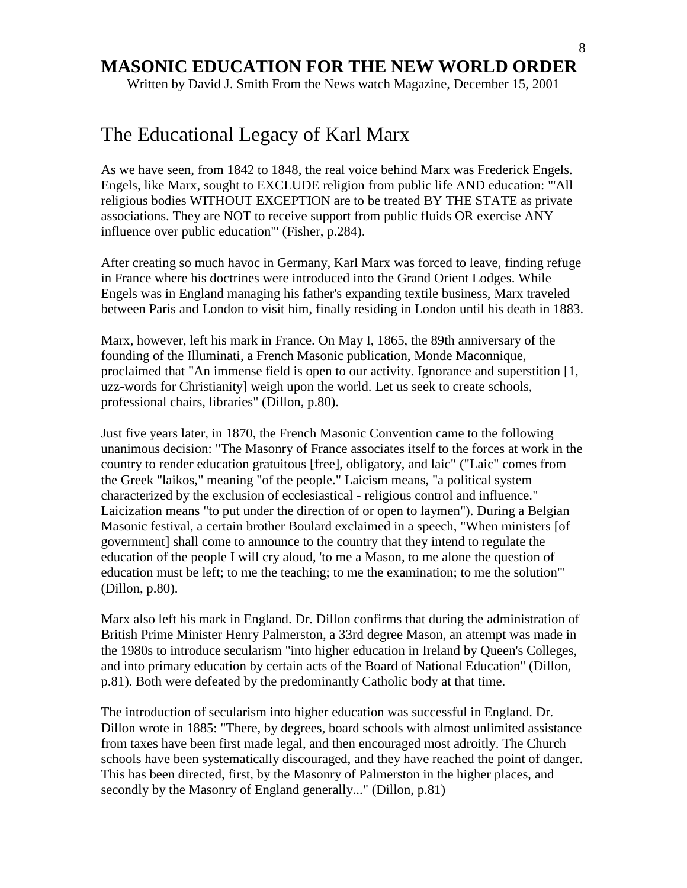Written by David J. Smith From the News watch Magazine, December 15, 2001

# The Educational Legacy of Karl Marx

As we have seen, from 1842 to 1848, the real voice behind Marx was Frederick Engels. Engels, like Marx, sought to EXCLUDE religion from public life AND education: "'All religious bodies WITHOUT EXCEPTION are to be treated BY THE STATE as private associations. They are NOT to receive support from public fluids OR exercise ANY influence over public education"' (Fisher, p.284).

After creating so much havoc in Germany, Karl Marx was forced to leave, finding refuge in France where his doctrines were introduced into the Grand Orient Lodges. While Engels was in England managing his father's expanding textile business, Marx traveled between Paris and London to visit him, finally residing in London until his death in 1883.

Marx, however, left his mark in France. On May I, 1865, the 89th anniversary of the founding of the Illuminati, a French Masonic publication, Monde Maconnique, proclaimed that "An immense field is open to our activity. Ignorance and superstition [1, uzz-words for Christianity] weigh upon the world. Let us seek to create schools, professional chairs, libraries" (Dillon, p.80).

Just five years later, in 1870, the French Masonic Convention came to the following unanimous decision: "The Masonry of France associates itself to the forces at work in the country to render education gratuitous [free], obligatory, and laic" ("Laic" comes from the Greek "laikos," meaning "of the people." Laicism means, "a political system characterized by the exclusion of ecclesiastical - religious control and influence." Laicizafion means "to put under the direction of or open to laymen"). During a Belgian Masonic festival, a certain brother Boulard exclaimed in a speech, "When ministers [of government] shall come to announce to the country that they intend to regulate the education of the people I will cry aloud, 'to me a Mason, to me alone the question of education must be left; to me the teaching; to me the examination; to me the solution"' (Dillon, p.80).

Marx also left his mark in England. Dr. Dillon confirms that during the administration of British Prime Minister Henry Palmerston, a 33rd degree Mason, an attempt was made in the 1980s to introduce secularism "into higher education in Ireland by Queen's Colleges, and into primary education by certain acts of the Board of National Education" (Dillon, p.81). Both were defeated by the predominantly Catholic body at that time.

The introduction of secularism into higher education was successful in England. Dr. Dillon wrote in 1885: "There, by degrees, board schools with almost unlimited assistance from taxes have been first made legal, and then encouraged most adroitly. The Church schools have been systematically discouraged, and they have reached the point of danger. This has been directed, first, by the Masonry of Palmerston in the higher places, and secondly by the Masonry of England generally..." (Dillon, p.81)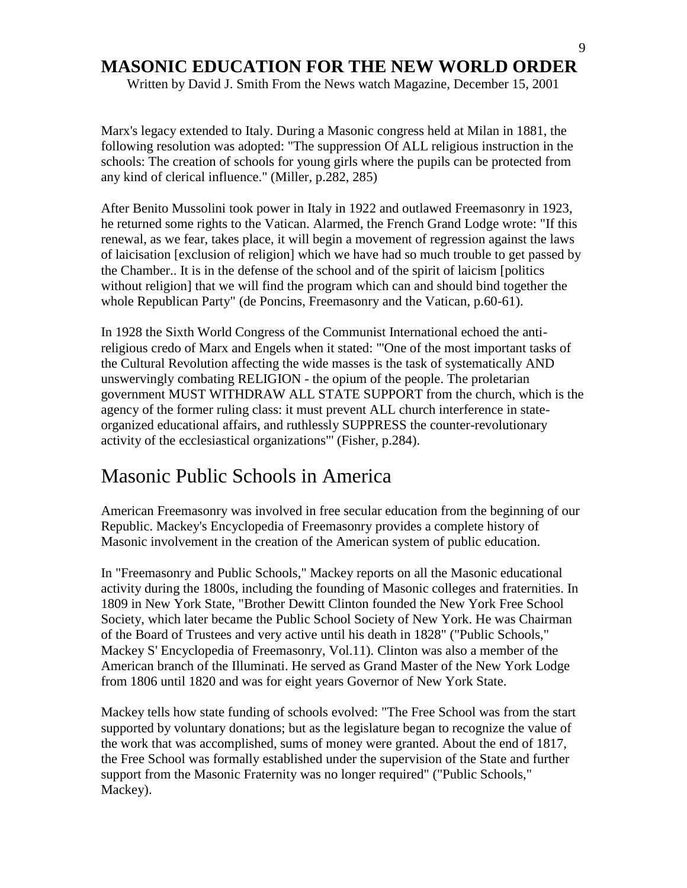Written by David J. Smith From the News watch Magazine, December 15, 2001

Marx's legacy extended to Italy. During a Masonic congress held at Milan in 1881, the following resolution was adopted: "The suppression Of ALL religious instruction in the schools: The creation of schools for young girls where the pupils can be protected from any kind of clerical influence." (Miller, p.282, 285)

After Benito Mussolini took power in Italy in 1922 and outlawed Freemasonry in 1923, he returned some rights to the Vatican. Alarmed, the French Grand Lodge wrote: "If this renewal, as we fear, takes place, it will begin a movement of regression against the laws of laicisation [exclusion of religion] which we have had so much trouble to get passed by the Chamber.. It is in the defense of the school and of the spirit of laicism [politics without religion] that we will find the program which can and should bind together the whole Republican Party" (de Poncins, Freemasonry and the Vatican, p.60-61).

In 1928 the Sixth World Congress of the Communist International echoed the antireligious credo of Marx and Engels when it stated: "'One of the most important tasks of the Cultural Revolution affecting the wide masses is the task of systematically AND unswervingly combating RELIGION - the opium of the people. The proletarian government MUST WITHDRAW ALL STATE SUPPORT from the church, which is the agency of the former ruling class: it must prevent ALL church interference in stateorganized educational affairs, and ruthlessly SUPPRESS the counter-revolutionary activity of the ecclesiastical organizations"' (Fisher, p.284).

# Masonic Public Schools in America

American Freemasonry was involved in free secular education from the beginning of our Republic. Mackey's Encyclopedia of Freemasonry provides a complete history of Masonic involvement in the creation of the American system of public education.

In "Freemasonry and Public Schools," Mackey reports on all the Masonic educational activity during the 1800s, including the founding of Masonic colleges and fraternities. In 1809 in New York State, "Brother Dewitt Clinton founded the New York Free School Society, which later became the Public School Society of New York. He was Chairman of the Board of Trustees and very active until his death in 1828" ("Public Schools," Mackey S' Encyclopedia of Freemasonry, Vol.11). Clinton was also a member of the American branch of the Illuminati. He served as Grand Master of the New York Lodge from 1806 until 1820 and was for eight years Governor of New York State.

Mackey tells how state funding of schools evolved: "The Free School was from the start supported by voluntary donations; but as the legislature began to recognize the value of the work that was accomplished, sums of money were granted. About the end of 1817, the Free School was formally established under the supervision of the State and further support from the Masonic Fraternity was no longer required" ("Public Schools," Mackey).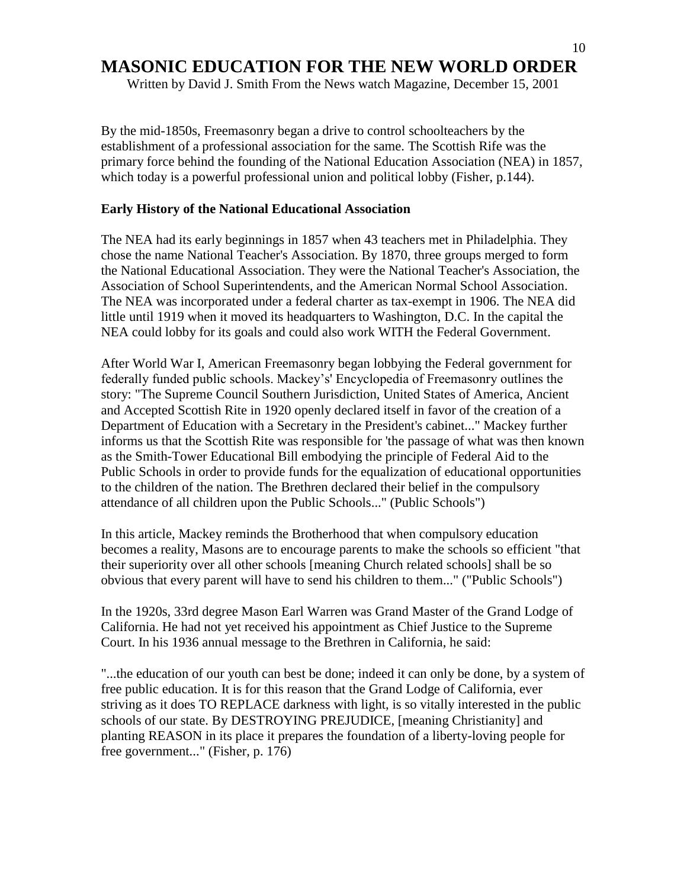Written by David J. Smith From the News watch Magazine, December 15, 2001

By the mid-1850s, Freemasonry began a drive to control schoolteachers by the establishment of a professional association for the same. The Scottish Rife was the primary force behind the founding of the National Education Association (NEA) in 1857, which today is a powerful professional union and political lobby (Fisher, p.144).

#### **Early History of the National Educational Association**

The NEA had its early beginnings in 1857 when 43 teachers met in Philadelphia. They chose the name National Teacher's Association. By 1870, three groups merged to form the National Educational Association. They were the National Teacher's Association, the Association of School Superintendents, and the American Normal School Association. The NEA was incorporated under a federal charter as tax-exempt in 1906. The NEA did little until 1919 when it moved its headquarters to Washington, D.C. In the capital the NEA could lobby for its goals and could also work WITH the Federal Government.

After World War I, American Freemasonry began lobbying the Federal government for federally funded public schools. Mackey"s' Encyclopedia of Freemasonry outlines the story: "The Supreme Council Southern Jurisdiction, United States of America, Ancient and Accepted Scottish Rite in 1920 openly declared itself in favor of the creation of a Department of Education with a Secretary in the President's cabinet..." Mackey further informs us that the Scottish Rite was responsible for 'the passage of what was then known as the Smith-Tower Educational Bill embodying the principle of Federal Aid to the Public Schools in order to provide funds for the equalization of educational opportunities to the children of the nation. The Brethren declared their belief in the compulsory attendance of all children upon the Public Schools..." (Public Schools")

In this article, Mackey reminds the Brotherhood that when compulsory education becomes a reality, Masons are to encourage parents to make the schools so efficient "that their superiority over all other schools [meaning Church related schools] shall be so obvious that every parent will have to send his children to them..." ("Public Schools")

In the 1920s, 33rd degree Mason Earl Warren was Grand Master of the Grand Lodge of California. He had not yet received his appointment as Chief Justice to the Supreme Court. In his 1936 annual message to the Brethren in California, he said:

"...the education of our youth can best be done; indeed it can only be done, by a system of free public education. It is for this reason that the Grand Lodge of California, ever striving as it does TO REPLACE darkness with light, is so vitally interested in the public schools of our state. By DESTROYING PREJUDICE, [meaning Christianity] and planting REASON in its place it prepares the foundation of a liberty-loving people for free government..." (Fisher, p. 176)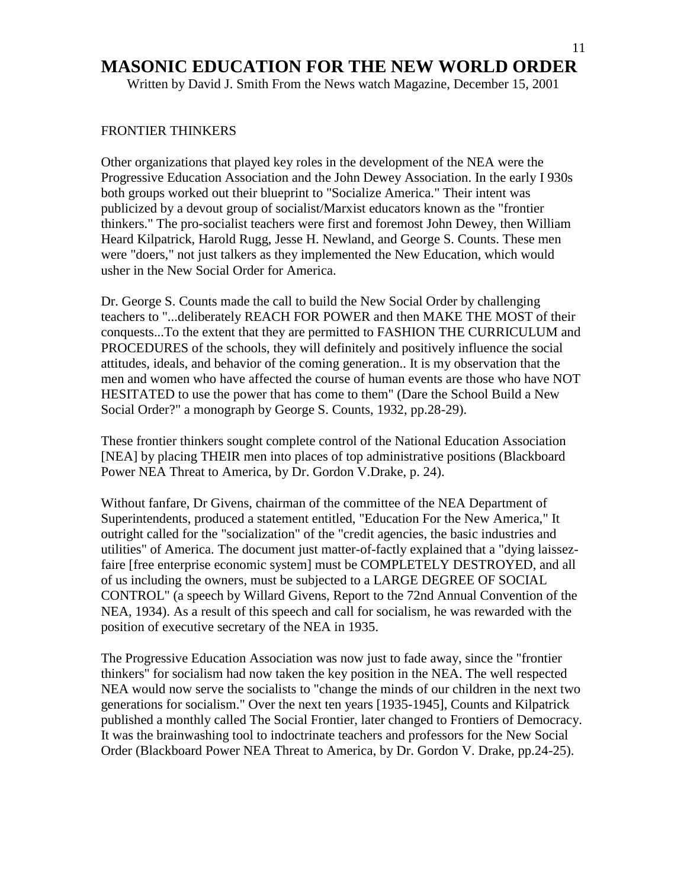Written by David J. Smith From the News watch Magazine, December 15, 2001

#### FRONTIER THINKERS

Other organizations that played key roles in the development of the NEA were the Progressive Education Association and the John Dewey Association. In the early I 930s both groups worked out their blueprint to "Socialize America." Their intent was publicized by a devout group of socialist/Marxist educators known as the "frontier thinkers." The pro-socialist teachers were first and foremost John Dewey, then William Heard Kilpatrick, Harold Rugg, Jesse H. Newland, and George S. Counts. These men were "doers," not just talkers as they implemented the New Education, which would usher in the New Social Order for America.

Dr. George S. Counts made the call to build the New Social Order by challenging teachers to "...deliberately REACH FOR POWER and then MAKE THE MOST of their conquests...To the extent that they are permitted to FASHION THE CURRICULUM and PROCEDURES of the schools, they will definitely and positively influence the social attitudes, ideals, and behavior of the coming generation.. It is my observation that the men and women who have affected the course of human events are those who have NOT HESITATED to use the power that has come to them" (Dare the School Build a New Social Order?" a monograph by George S. Counts, 1932, pp.28-29).

These frontier thinkers sought complete control of the National Education Association [NEA] by placing THEIR men into places of top administrative positions (Blackboard Power NEA Threat to America, by Dr. Gordon V.Drake, p. 24).

Without fanfare, Dr Givens, chairman of the committee of the NEA Department of Superintendents, produced a statement entitled, "Education For the New America," It outright called for the "socialization" of the "credit agencies, the basic industries and utilities" of America. The document just matter-of-factly explained that a "dying laissezfaire [free enterprise economic system] must be COMPLETELY DESTROYED, and all of us including the owners, must be subjected to a LARGE DEGREE OF SOCIAL CONTROL" (a speech by Willard Givens, Report to the 72nd Annual Convention of the NEA, 1934). As a result of this speech and call for socialism, he was rewarded with the position of executive secretary of the NEA in 1935.

The Progressive Education Association was now just to fade away, since the "frontier thinkers" for socialism had now taken the key position in the NEA. The well respected NEA would now serve the socialists to "change the minds of our children in the next two generations for socialism." Over the next ten years [1935-1945], Counts and Kilpatrick published a monthly called The Social Frontier, later changed to Frontiers of Democracy. It was the brainwashing tool to indoctrinate teachers and professors for the New Social Order (Blackboard Power NEA Threat to America, by Dr. Gordon V. Drake, pp.24-25).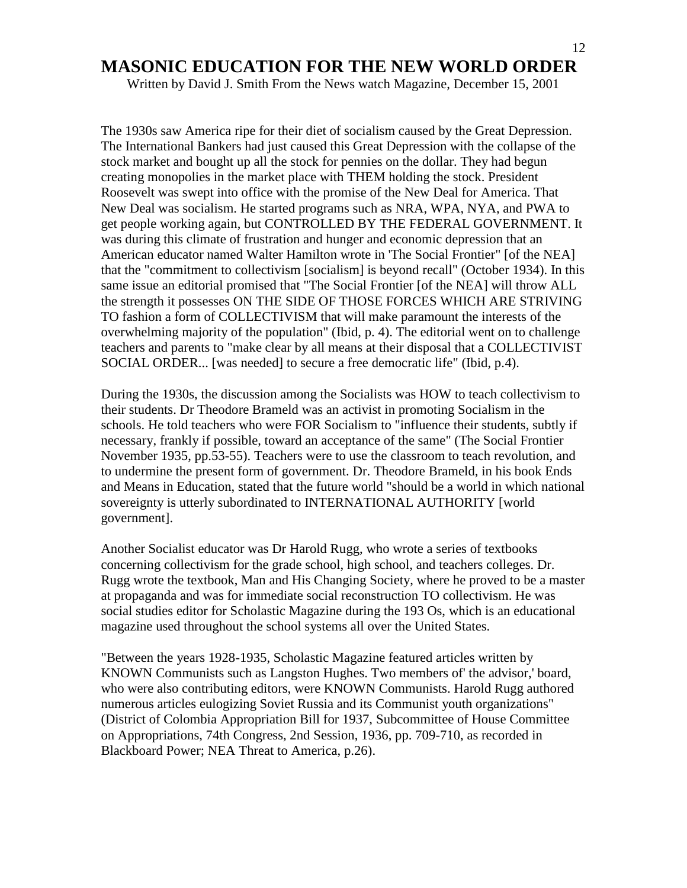Written by David J. Smith From the News watch Magazine, December 15, 2001

The 1930s saw America ripe for their diet of socialism caused by the Great Depression. The International Bankers had just caused this Great Depression with the collapse of the stock market and bought up all the stock for pennies on the dollar. They had begun creating monopolies in the market place with THEM holding the stock. President Roosevelt was swept into office with the promise of the New Deal for America. That New Deal was socialism. He started programs such as NRA, WPA, NYA, and PWA to get people working again, but CONTROLLED BY THE FEDERAL GOVERNMENT. It was during this climate of frustration and hunger and economic depression that an American educator named Walter Hamilton wrote in 'The Social Frontier" [of the NEA] that the "commitment to collectivism [socialism] is beyond recall" (October 1934). In this same issue an editorial promised that "The Social Frontier [of the NEA] will throw ALL the strength it possesses ON THE SIDE OF THOSE FORCES WHICH ARE STRIVING TO fashion a form of COLLECTIVISM that will make paramount the interests of the overwhelming majority of the population" (Ibid, p. 4). The editorial went on to challenge teachers and parents to "make clear by all means at their disposal that a COLLECTIVIST SOCIAL ORDER... [was needed] to secure a free democratic life" (Ibid, p.4).

During the 1930s, the discussion among the Socialists was HOW to teach collectivism to their students. Dr Theodore Brameld was an activist in promoting Socialism in the schools. He told teachers who were FOR Socialism to "influence their students, subtly if necessary, frankly if possible, toward an acceptance of the same" (The Social Frontier November 1935, pp.53-55). Teachers were to use the classroom to teach revolution, and to undermine the present form of government. Dr. Theodore Brameld, in his book Ends and Means in Education, stated that the future world "should be a world in which national sovereignty is utterly subordinated to INTERNATIONAL AUTHORITY [world government].

Another Socialist educator was Dr Harold Rugg, who wrote a series of textbooks concerning collectivism for the grade school, high school, and teachers colleges. Dr. Rugg wrote the textbook, Man and His Changing Society, where he proved to be a master at propaganda and was for immediate social reconstruction TO collectivism. He was social studies editor for Scholastic Magazine during the 193 Os, which is an educational magazine used throughout the school systems all over the United States.

"Between the years 1928-1935, Scholastic Magazine featured articles written by KNOWN Communists such as Langston Hughes. Two members of' the advisor,' board, who were also contributing editors, were KNOWN Communists. Harold Rugg authored numerous articles eulogizing Soviet Russia and its Communist youth organizations" (District of Colombia Appropriation Bill for 1937, Subcommittee of House Committee on Appropriations, 74th Congress, 2nd Session, 1936, pp. 709-710, as recorded in Blackboard Power; NEA Threat to America, p.26).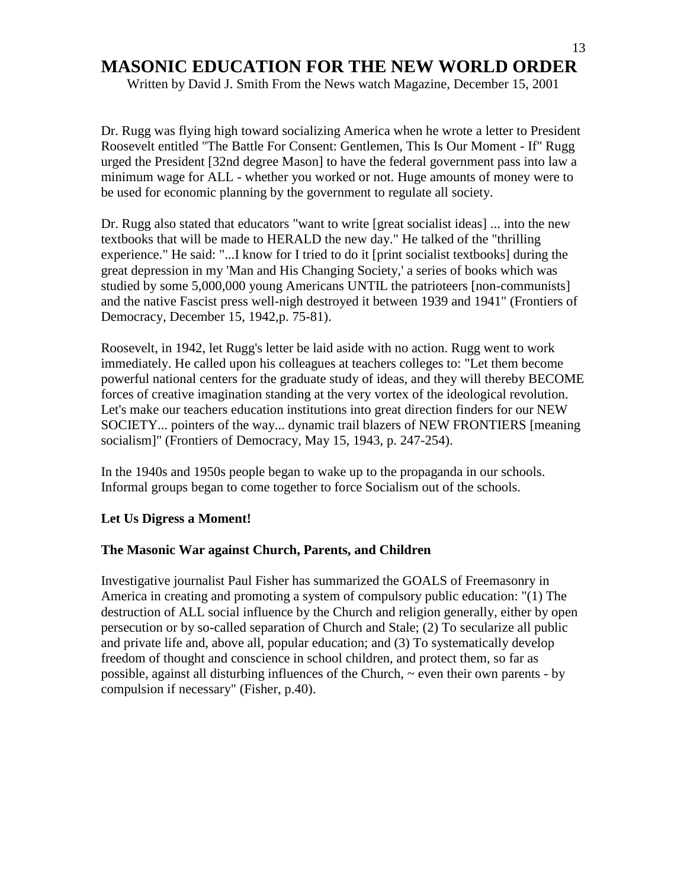Written by David J. Smith From the News watch Magazine, December 15, 2001

Dr. Rugg was flying high toward socializing America when he wrote a letter to President Roosevelt entitled "The Battle For Consent: Gentlemen, This Is Our Moment - If" Rugg urged the President [32nd degree Mason] to have the federal government pass into law a minimum wage for ALL - whether you worked or not. Huge amounts of money were to be used for economic planning by the government to regulate all society.

Dr. Rugg also stated that educators "want to write [great socialist ideas] ... into the new textbooks that will be made to HERALD the new day." He talked of the "thrilling experience." He said: "...I know for I tried to do it [print socialist textbooks] during the great depression in my 'Man and His Changing Society,' a series of books which was studied by some 5,000,000 young Americans UNTIL the patrioteers [non-communists] and the native Fascist press well-nigh destroyed it between 1939 and 1941" (Frontiers of Democracy, December 15, 1942,p. 75-81).

Roosevelt, in 1942, let Rugg's letter be laid aside with no action. Rugg went to work immediately. He called upon his colleagues at teachers colleges to: "Let them become powerful national centers for the graduate study of ideas, and they will thereby BECOME forces of creative imagination standing at the very vortex of the ideological revolution. Let's make our teachers education institutions into great direction finders for our NEW SOCIETY... pointers of the way... dynamic trail blazers of NEW FRONTIERS [meaning socialism]" (Frontiers of Democracy, May 15, 1943, p. 247-254).

In the 1940s and 1950s people began to wake up to the propaganda in our schools. Informal groups began to come together to force Socialism out of the schools.

#### **Let Us Digress a Moment!**

#### **The Masonic War against Church, Parents, and Children**

Investigative journalist Paul Fisher has summarized the GOALS of Freemasonry in America in creating and promoting a system of compulsory public education: "(1) The destruction of ALL social influence by the Church and religion generally, either by open persecution or by so-called separation of Church and Stale; (2) To secularize all public and private life and, above all, popular education; and (3) To systematically develop freedom of thought and conscience in school children, and protect them, so far as possible, against all disturbing influences of the Church, ~ even their own parents - by compulsion if necessary" (Fisher, p.40).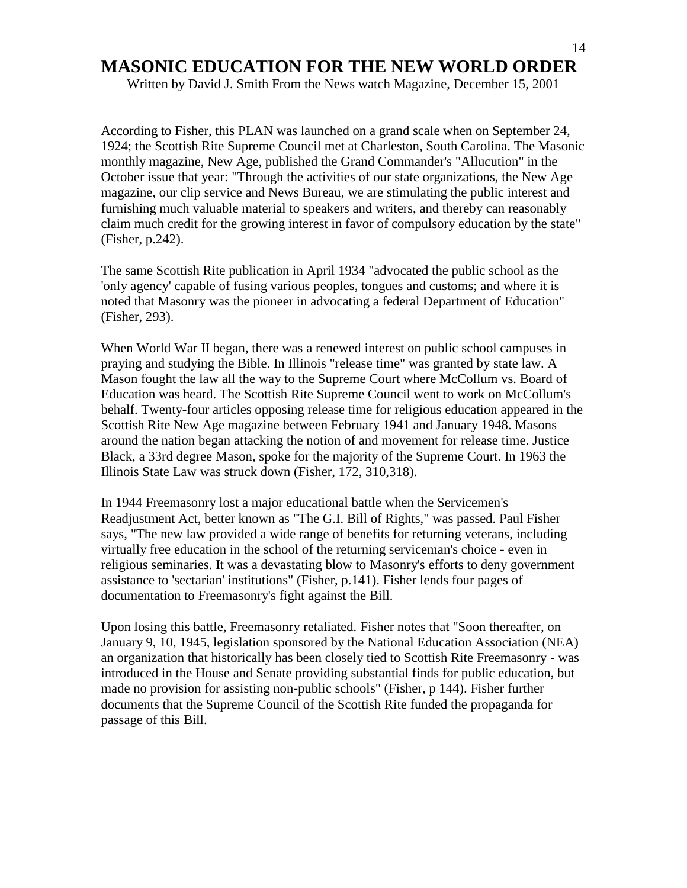Written by David J. Smith From the News watch Magazine, December 15, 2001

According to Fisher, this PLAN was launched on a grand scale when on September 24, 1924; the Scottish Rite Supreme Council met at Charleston, South Carolina. The Masonic monthly magazine, New Age, published the Grand Commander's "Allucution" in the October issue that year: "Through the activities of our state organizations, the New Age magazine, our clip service and News Bureau, we are stimulating the public interest and furnishing much valuable material to speakers and writers, and thereby can reasonably claim much credit for the growing interest in favor of compulsory education by the state" (Fisher, p.242).

The same Scottish Rite publication in April 1934 "advocated the public school as the 'only agency' capable of fusing various peoples, tongues and customs; and where it is noted that Masonry was the pioneer in advocating a federal Department of Education" (Fisher, 293).

When World War II began, there was a renewed interest on public school campuses in praying and studying the Bible. In Illinois "release time" was granted by state law. A Mason fought the law all the way to the Supreme Court where McCollum vs. Board of Education was heard. The Scottish Rite Supreme Council went to work on McCollum's behalf. Twenty-four articles opposing release time for religious education appeared in the Scottish Rite New Age magazine between February 1941 and January 1948. Masons around the nation began attacking the notion of and movement for release time. Justice Black, a 33rd degree Mason, spoke for the majority of the Supreme Court. In 1963 the Illinois State Law was struck down (Fisher, 172, 310,318).

In 1944 Freemasonry lost a major educational battle when the Servicemen's Readjustment Act, better known as "The G.I. Bill of Rights," was passed. Paul Fisher says, "The new law provided a wide range of benefits for returning veterans, including virtually free education in the school of the returning serviceman's choice - even in religious seminaries. It was a devastating blow to Masonry's efforts to deny government assistance to 'sectarian' institutions" (Fisher, p.141). Fisher lends four pages of documentation to Freemasonry's fight against the Bill.

Upon losing this battle, Freemasonry retaliated. Fisher notes that "Soon thereafter, on January 9, 10, 1945, legislation sponsored by the National Education Association (NEA) an organization that historically has been closely tied to Scottish Rite Freemasonry - was introduced in the House and Senate providing substantial finds for public education, but made no provision for assisting non-public schools" (Fisher, p 144). Fisher further documents that the Supreme Council of the Scottish Rite funded the propaganda for passage of this Bill.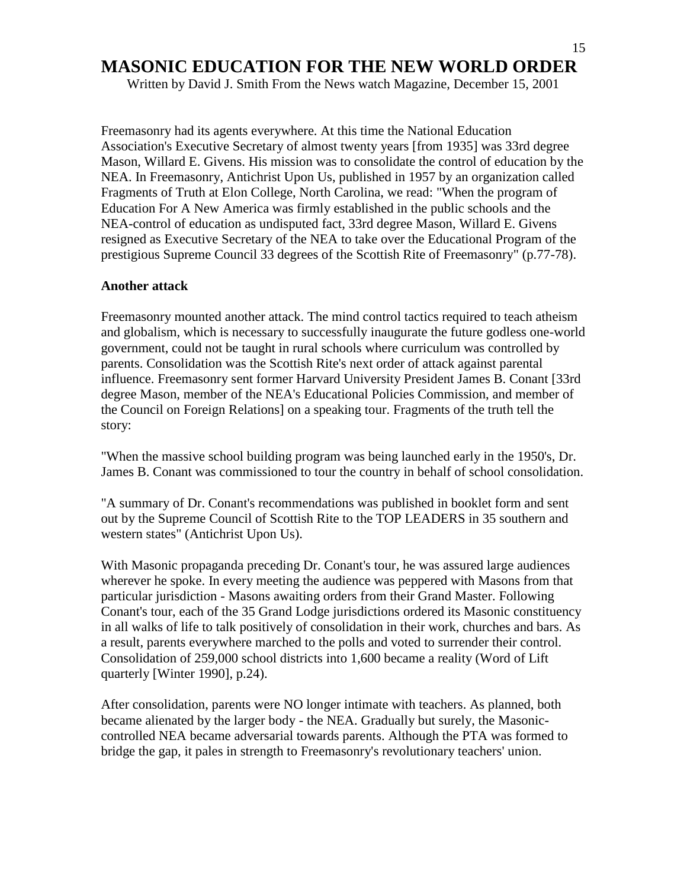Written by David J. Smith From the News watch Magazine, December 15, 2001

Freemasonry had its agents everywhere. At this time the National Education Association's Executive Secretary of almost twenty years [from 1935] was 33rd degree Mason, Willard E. Givens. His mission was to consolidate the control of education by the NEA. In Freemasonry, Antichrist Upon Us, published in 1957 by an organization called Fragments of Truth at Elon College, North Carolina, we read: "When the program of Education For A New America was firmly established in the public schools and the NEA-control of education as undisputed fact, 33rd degree Mason, Willard E. Givens resigned as Executive Secretary of the NEA to take over the Educational Program of the prestigious Supreme Council 33 degrees of the Scottish Rite of Freemasonry" (p.77-78).

#### **Another attack**

Freemasonry mounted another attack. The mind control tactics required to teach atheism and globalism, which is necessary to successfully inaugurate the future godless one-world government, could not be taught in rural schools where curriculum was controlled by parents. Consolidation was the Scottish Rite's next order of attack against parental influence. Freemasonry sent former Harvard University President James B. Conant [33rd degree Mason, member of the NEA's Educational Policies Commission, and member of the Council on Foreign Relations] on a speaking tour. Fragments of the truth tell the story:

"When the massive school building program was being launched early in the 1950's, Dr. James B. Conant was commissioned to tour the country in behalf of school consolidation.

"A summary of Dr. Conant's recommendations was published in booklet form and sent out by the Supreme Council of Scottish Rite to the TOP LEADERS in 35 southern and western states" (Antichrist Upon Us).

With Masonic propaganda preceding Dr. Conant's tour, he was assured large audiences wherever he spoke. In every meeting the audience was peppered with Masons from that particular jurisdiction - Masons awaiting orders from their Grand Master. Following Conant's tour, each of the 35 Grand Lodge jurisdictions ordered its Masonic constituency in all walks of life to talk positively of consolidation in their work, churches and bars. As a result, parents everywhere marched to the polls and voted to surrender their control. Consolidation of 259,000 school districts into 1,600 became a reality (Word of Lift quarterly [Winter 1990], p.24).

After consolidation, parents were NO longer intimate with teachers. As planned, both became alienated by the larger body - the NEA. Gradually but surely, the Masoniccontrolled NEA became adversarial towards parents. Although the PTA was formed to bridge the gap, it pales in strength to Freemasonry's revolutionary teachers' union.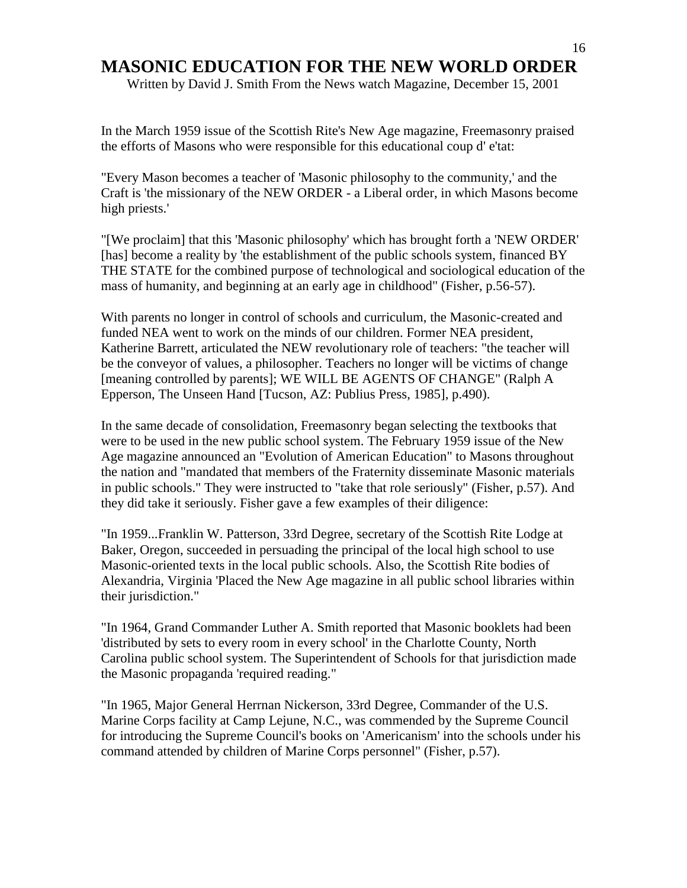Written by David J. Smith From the News watch Magazine, December 15, 2001

In the March 1959 issue of the Scottish Rite's New Age magazine, Freemasonry praised the efforts of Masons who were responsible for this educational coup d' e'tat:

"Every Mason becomes a teacher of 'Masonic philosophy to the community,' and the Craft is 'the missionary of the NEW ORDER - a Liberal order, in which Masons become high priests.'

"[We proclaim] that this 'Masonic philosophy' which has brought forth a 'NEW ORDER' [has] become a reality by 'the establishment of the public schools system, financed BY THE STATE for the combined purpose of technological and sociological education of the mass of humanity, and beginning at an early age in childhood" (Fisher, p.56-57).

With parents no longer in control of schools and curriculum, the Masonic-created and funded NEA went to work on the minds of our children. Former NEA president, Katherine Barrett, articulated the NEW revolutionary role of teachers: "the teacher will be the conveyor of values, a philosopher. Teachers no longer will be victims of change [meaning controlled by parents]; WE WILL BE AGENTS OF CHANGE" (Ralph A Epperson, The Unseen Hand [Tucson, AZ: Publius Press, 1985], p.490).

In the same decade of consolidation, Freemasonry began selecting the textbooks that were to be used in the new public school system. The February 1959 issue of the New Age magazine announced an "Evolution of American Education" to Masons throughout the nation and "mandated that members of the Fraternity disseminate Masonic materials in public schools." They were instructed to "take that role seriously" (Fisher, p.57). And they did take it seriously. Fisher gave a few examples of their diligence:

"In 1959...Franklin W. Patterson, 33rd Degree, secretary of the Scottish Rite Lodge at Baker, Oregon, succeeded in persuading the principal of the local high school to use Masonic-oriented texts in the local public schools. Also, the Scottish Rite bodies of Alexandria, Virginia 'Placed the New Age magazine in all public school libraries within their jurisdiction."

"In 1964, Grand Commander Luther A. Smith reported that Masonic booklets had been 'distributed by sets to every room in every school' in the Charlotte County, North Carolina public school system. The Superintendent of Schools for that jurisdiction made the Masonic propaganda 'required reading."

"In 1965, Major General Herrnan Nickerson, 33rd Degree, Commander of the U.S. Marine Corps facility at Camp Lejune, N.C., was commended by the Supreme Council for introducing the Supreme Council's books on 'Americanism' into the schools under his command attended by children of Marine Corps personnel" (Fisher, p.57).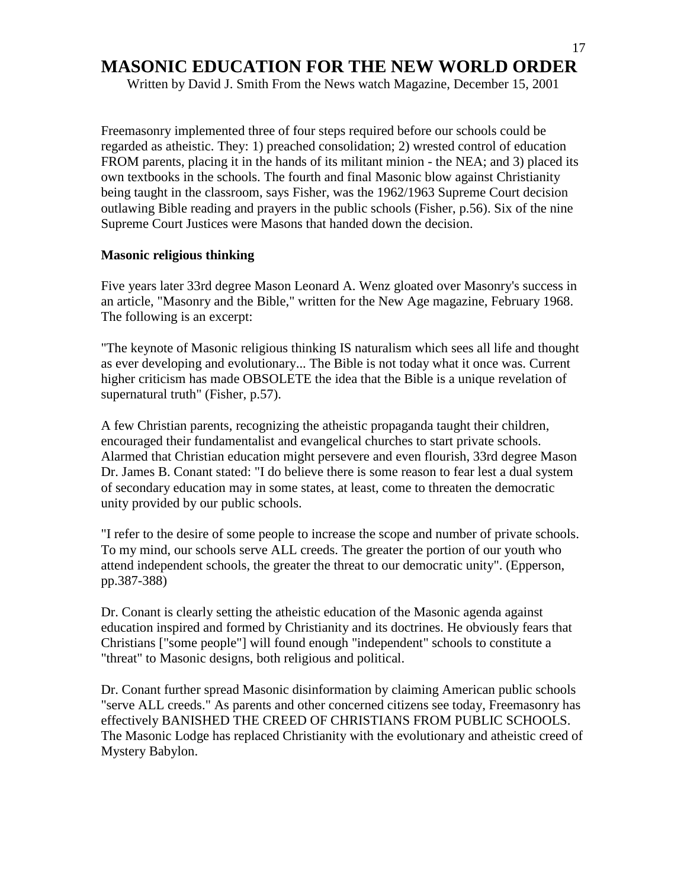Written by David J. Smith From the News watch Magazine, December 15, 2001

Freemasonry implemented three of four steps required before our schools could be regarded as atheistic. They: 1) preached consolidation; 2) wrested control of education FROM parents, placing it in the hands of its militant minion - the NEA; and 3) placed its own textbooks in the schools. The fourth and final Masonic blow against Christianity being taught in the classroom, says Fisher, was the 1962/1963 Supreme Court decision outlawing Bible reading and prayers in the public schools (Fisher, p.56). Six of the nine Supreme Court Justices were Masons that handed down the decision.

#### **Masonic religious thinking**

Five years later 33rd degree Mason Leonard A. Wenz gloated over Masonry's success in an article, "Masonry and the Bible," written for the New Age magazine, February 1968. The following is an excerpt:

"The keynote of Masonic religious thinking IS naturalism which sees all life and thought as ever developing and evolutionary... The Bible is not today what it once was. Current higher criticism has made OBSOLETE the idea that the Bible is a unique revelation of supernatural truth" (Fisher, p.57).

A few Christian parents, recognizing the atheistic propaganda taught their children, encouraged their fundamentalist and evangelical churches to start private schools. Alarmed that Christian education might persevere and even flourish, 33rd degree Mason Dr. James B. Conant stated: "I do believe there is some reason to fear lest a dual system of secondary education may in some states, at least, come to threaten the democratic unity provided by our public schools.

"I refer to the desire of some people to increase the scope and number of private schools. To my mind, our schools serve ALL creeds. The greater the portion of our youth who attend independent schools, the greater the threat to our democratic unity". (Epperson, pp.387-388)

Dr. Conant is clearly setting the atheistic education of the Masonic agenda against education inspired and formed by Christianity and its doctrines. He obviously fears that Christians ["some people"] will found enough "independent" schools to constitute a "threat" to Masonic designs, both religious and political.

Dr. Conant further spread Masonic disinformation by claiming American public schools "serve ALL creeds." As parents and other concerned citizens see today, Freemasonry has effectively BANISHED THE CREED OF CHRISTIANS FROM PUBLIC SCHOOLS. The Masonic Lodge has replaced Christianity with the evolutionary and atheistic creed of Mystery Babylon.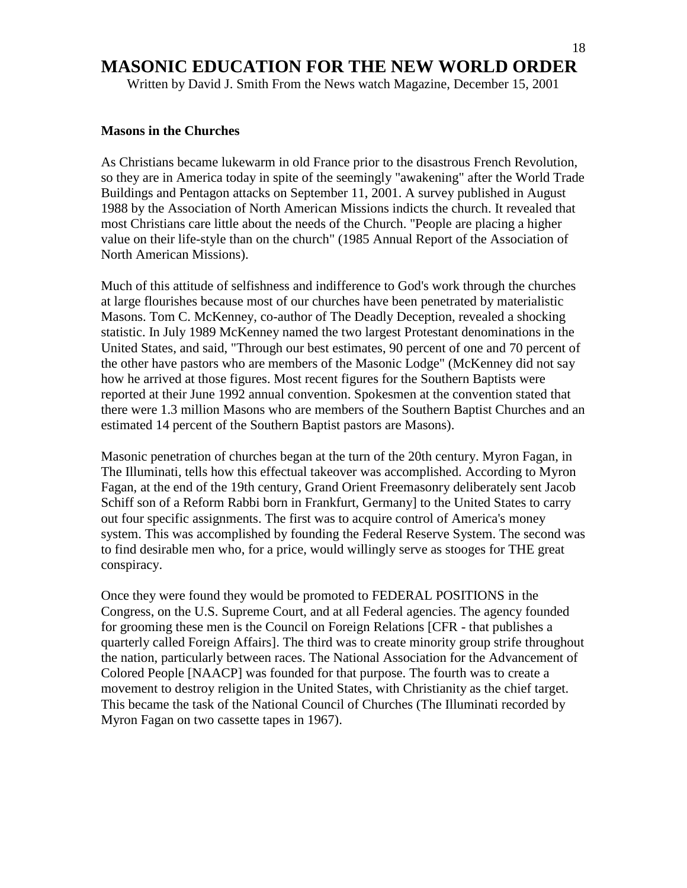Written by David J. Smith From the News watch Magazine, December 15, 2001

#### **Masons in the Churches**

As Christians became lukewarm in old France prior to the disastrous French Revolution, so they are in America today in spite of the seemingly "awakening" after the World Trade Buildings and Pentagon attacks on September 11, 2001. A survey published in August 1988 by the Association of North American Missions indicts the church. It revealed that most Christians care little about the needs of the Church. "People are placing a higher value on their life-style than on the church" (1985 Annual Report of the Association of North American Missions).

Much of this attitude of selfishness and indifference to God's work through the churches at large flourishes because most of our churches have been penetrated by materialistic Masons. Tom C. McKenney, co-author of The Deadly Deception, revealed a shocking statistic. In July 1989 McKenney named the two largest Protestant denominations in the United States, and said, "Through our best estimates, 90 percent of one and 70 percent of the other have pastors who are members of the Masonic Lodge" (McKenney did not say how he arrived at those figures. Most recent figures for the Southern Baptists were reported at their June 1992 annual convention. Spokesmen at the convention stated that there were 1.3 million Masons who are members of the Southern Baptist Churches and an estimated 14 percent of the Southern Baptist pastors are Masons).

Masonic penetration of churches began at the turn of the 20th century. Myron Fagan, in The Illuminati, tells how this effectual takeover was accomplished. According to Myron Fagan, at the end of the 19th century, Grand Orient Freemasonry deliberately sent Jacob Schiff son of a Reform Rabbi born in Frankfurt, Germany] to the United States to carry out four specific assignments. The first was to acquire control of America's money system. This was accomplished by founding the Federal Reserve System. The second was to find desirable men who, for a price, would willingly serve as stooges for THE great conspiracy.

Once they were found they would be promoted to FEDERAL POSITIONS in the Congress, on the U.S. Supreme Court, and at all Federal agencies. The agency founded for grooming these men is the Council on Foreign Relations [CFR - that publishes a quarterly called Foreign Affairs]. The third was to create minority group strife throughout the nation, particularly between races. The National Association for the Advancement of Colored People [NAACP] was founded for that purpose. The fourth was to create a movement to destroy religion in the United States, with Christianity as the chief target. This became the task of the National Council of Churches (The Illuminati recorded by Myron Fagan on two cassette tapes in 1967).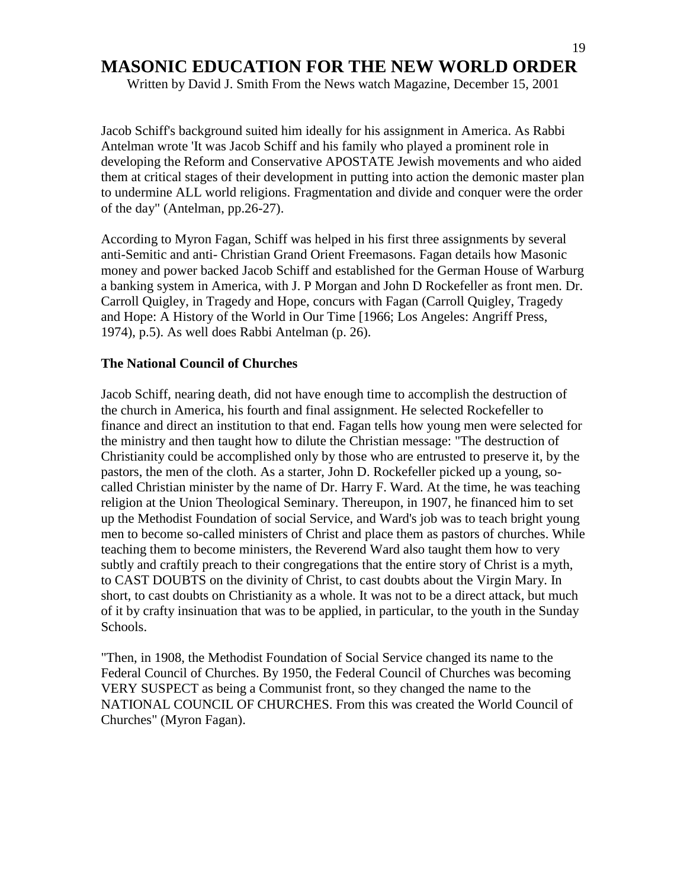Written by David J. Smith From the News watch Magazine, December 15, 2001

Jacob Schiff's background suited him ideally for his assignment in America. As Rabbi Antelman wrote 'It was Jacob Schiff and his family who played a prominent role in developing the Reform and Conservative APOSTATE Jewish movements and who aided them at critical stages of their development in putting into action the demonic master plan to undermine ALL world religions. Fragmentation and divide and conquer were the order of the day" (Antelman, pp.26-27).

According to Myron Fagan, Schiff was helped in his first three assignments by several anti-Semitic and anti- Christian Grand Orient Freemasons. Fagan details how Masonic money and power backed Jacob Schiff and established for the German House of Warburg a banking system in America, with J. P Morgan and John D Rockefeller as front men. Dr. Carroll Quigley, in Tragedy and Hope, concurs with Fagan (Carroll Quigley, Tragedy and Hope: A History of the World in Our Time [1966; Los Angeles: Angriff Press, 1974), p.5). As well does Rabbi Antelman (p. 26).

#### **The National Council of Churches**

Jacob Schiff, nearing death, did not have enough time to accomplish the destruction of the church in America, his fourth and final assignment. He selected Rockefeller to finance and direct an institution to that end. Fagan tells how young men were selected for the ministry and then taught how to dilute the Christian message: "The destruction of Christianity could be accomplished only by those who are entrusted to preserve it, by the pastors, the men of the cloth. As a starter, John D. Rockefeller picked up a young, socalled Christian minister by the name of Dr. Harry F. Ward. At the time, he was teaching religion at the Union Theological Seminary. Thereupon, in 1907, he financed him to set up the Methodist Foundation of social Service, and Ward's job was to teach bright young men to become so-called ministers of Christ and place them as pastors of churches. While teaching them to become ministers, the Reverend Ward also taught them how to very subtly and craftily preach to their congregations that the entire story of Christ is a myth, to CAST DOUBTS on the divinity of Christ, to cast doubts about the Virgin Mary. In short, to cast doubts on Christianity as a whole. It was not to be a direct attack, but much of it by crafty insinuation that was to be applied, in particular, to the youth in the Sunday Schools.

"Then, in 1908, the Methodist Foundation of Social Service changed its name to the Federal Council of Churches. By 1950, the Federal Council of Churches was becoming VERY SUSPECT as being a Communist front, so they changed the name to the NATIONAL COUNCIL OF CHURCHES. From this was created the World Council of Churches" (Myron Fagan).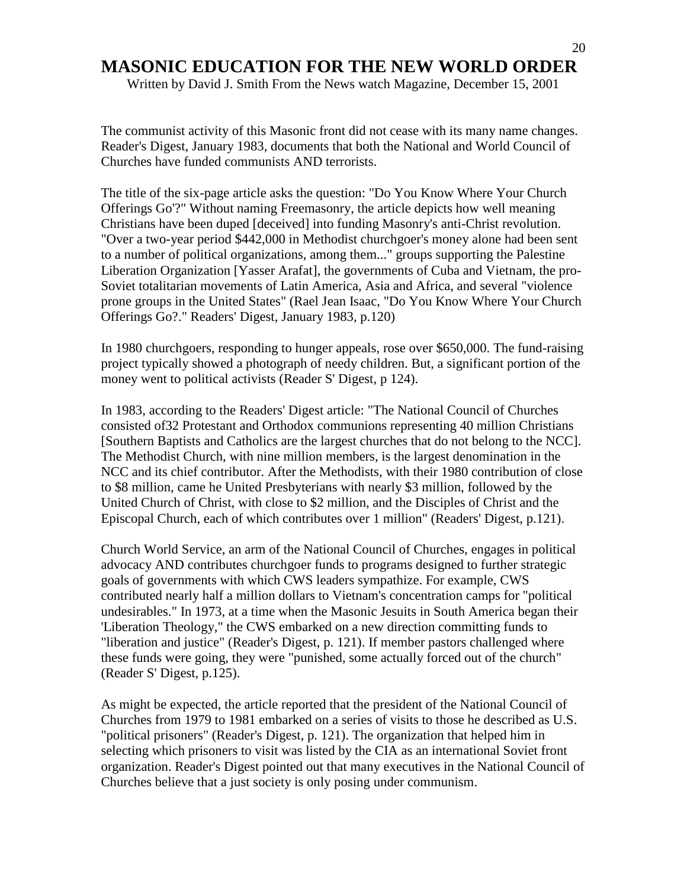Written by David J. Smith From the News watch Magazine, December 15, 2001

The communist activity of this Masonic front did not cease with its many name changes. Reader's Digest, January 1983, documents that both the National and World Council of Churches have funded communists AND terrorists.

The title of the six-page article asks the question: "Do You Know Where Your Church Offerings Go'?" Without naming Freemasonry, the article depicts how well meaning Christians have been duped [deceived] into funding Masonry's anti-Christ revolution. "Over a two-year period \$442,000 in Methodist churchgoer's money alone had been sent to a number of political organizations, among them..." groups supporting the Palestine Liberation Organization [Yasser Arafat], the governments of Cuba and Vietnam, the pro-Soviet totalitarian movements of Latin America, Asia and Africa, and several "violence prone groups in the United States" (Rael Jean Isaac, "Do You Know Where Your Church Offerings Go?." Readers' Digest, January 1983, p.120)

In 1980 churchgoers, responding to hunger appeals, rose over \$650,000. The fund-raising project typically showed a photograph of needy children. But, a significant portion of the money went to political activists (Reader S' Digest, p 124).

In 1983, according to the Readers' Digest article: "The National Council of Churches consisted of32 Protestant and Orthodox communions representing 40 million Christians [Southern Baptists and Catholics are the largest churches that do not belong to the NCC]. The Methodist Church, with nine million members, is the largest denomination in the NCC and its chief contributor. After the Methodists, with their 1980 contribution of close to \$8 million, came he United Presbyterians with nearly \$3 million, followed by the United Church of Christ, with close to \$2 million, and the Disciples of Christ and the Episcopal Church, each of which contributes over 1 million" (Readers' Digest, p.121).

Church World Service, an arm of the National Council of Churches, engages in political advocacy AND contributes churchgoer funds to programs designed to further strategic goals of governments with which CWS leaders sympathize. For example, CWS contributed nearly half a million dollars to Vietnam's concentration camps for "political undesirables." In 1973, at a time when the Masonic Jesuits in South America began their 'Liberation Theology," the CWS embarked on a new direction committing funds to "liberation and justice" (Reader's Digest, p. 121). If member pastors challenged where these funds were going, they were "punished, some actually forced out of the church" (Reader S' Digest, p.125).

As might be expected, the article reported that the president of the National Council of Churches from 1979 to 1981 embarked on a series of visits to those he described as U.S. "political prisoners" (Reader's Digest, p. 121). The organization that helped him in selecting which prisoners to visit was listed by the CIA as an international Soviet front organization. Reader's Digest pointed out that many executives in the National Council of Churches believe that a just society is only posing under communism.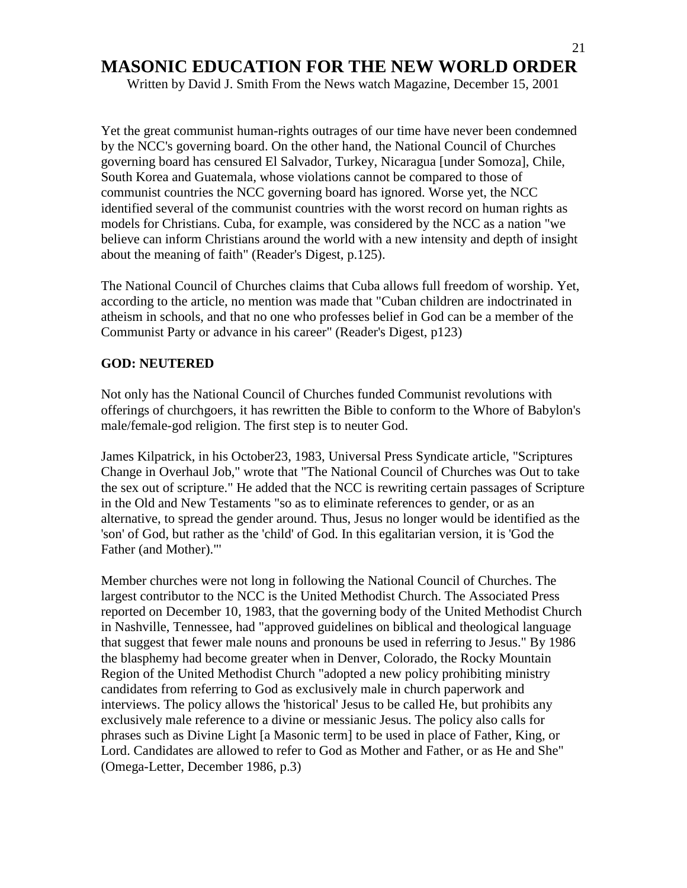Written by David J. Smith From the News watch Magazine, December 15, 2001

Yet the great communist human-rights outrages of our time have never been condemned by the NCC's governing board. On the other hand, the National Council of Churches governing board has censured El Salvador, Turkey, Nicaragua [under Somoza], Chile, South Korea and Guatemala, whose violations cannot be compared to those of communist countries the NCC governing board has ignored. Worse yet, the NCC identified several of the communist countries with the worst record on human rights as models for Christians. Cuba, for example, was considered by the NCC as a nation "we believe can inform Christians around the world with a new intensity and depth of insight about the meaning of faith" (Reader's Digest, p.125).

The National Council of Churches claims that Cuba allows full freedom of worship. Yet, according to the article, no mention was made that "Cuban children are indoctrinated in atheism in schools, and that no one who professes belief in God can be a member of the Communist Party or advance in his career" (Reader's Digest, p123)

#### **GOD: NEUTERED**

Not only has the National Council of Churches funded Communist revolutions with offerings of churchgoers, it has rewritten the Bible to conform to the Whore of Babylon's male/female-god religion. The first step is to neuter God.

James Kilpatrick, in his October23, 1983, Universal Press Syndicate article, "Scriptures Change in Overhaul Job," wrote that "The National Council of Churches was Out to take the sex out of scripture." He added that the NCC is rewriting certain passages of Scripture in the Old and New Testaments "so as to eliminate references to gender, or as an alternative, to spread the gender around. Thus, Jesus no longer would be identified as the 'son' of God, but rather as the 'child' of God. In this egalitarian version, it is 'God the Father (and Mother)."'

Member churches were not long in following the National Council of Churches. The largest contributor to the NCC is the United Methodist Church. The Associated Press reported on December 10, 1983, that the governing body of the United Methodist Church in Nashville, Tennessee, had "approved guidelines on biblical and theological language that suggest that fewer male nouns and pronouns be used in referring to Jesus." By 1986 the blasphemy had become greater when in Denver, Colorado, the Rocky Mountain Region of the United Methodist Church "adopted a new policy prohibiting ministry candidates from referring to God as exclusively male in church paperwork and interviews. The policy allows the 'historical' Jesus to be called He, but prohibits any exclusively male reference to a divine or messianic Jesus. The policy also calls for phrases such as Divine Light [a Masonic term] to be used in place of Father, King, or Lord. Candidates are allowed to refer to God as Mother and Father, or as He and She" (Omega-Letter, December 1986, p.3)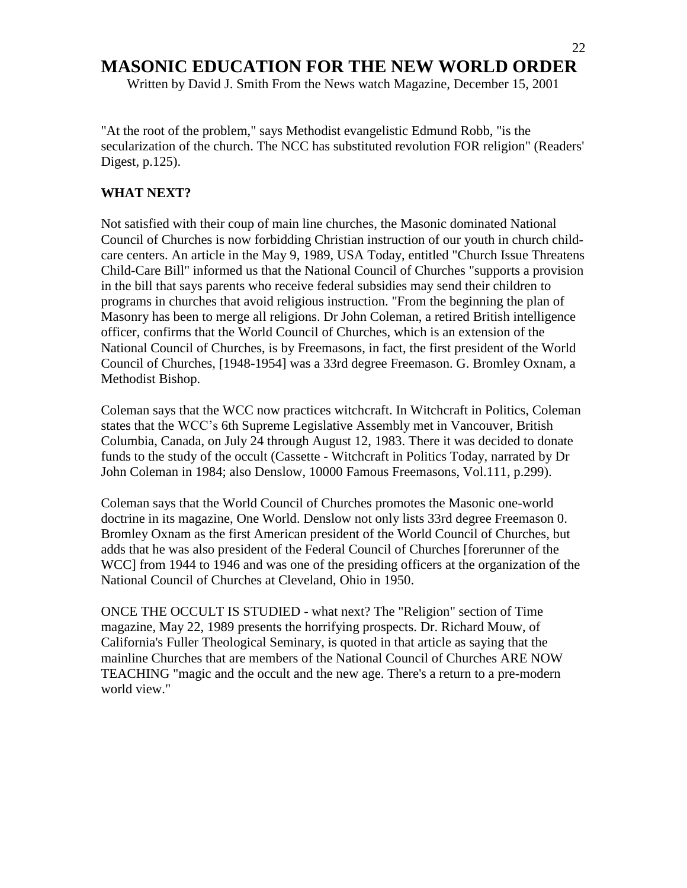Written by David J. Smith From the News watch Magazine, December 15, 2001

"At the root of the problem," says Methodist evangelistic Edmund Robb, "is the secularization of the church. The NCC has substituted revolution FOR religion" (Readers' Digest, p.125).

#### **WHAT NEXT?**

Not satisfied with their coup of main line churches, the Masonic dominated National Council of Churches is now forbidding Christian instruction of our youth in church childcare centers. An article in the May 9, 1989, USA Today, entitled "Church Issue Threatens Child-Care Bill" informed us that the National Council of Churches "supports a provision in the bill that says parents who receive federal subsidies may send their children to programs in churches that avoid religious instruction. "From the beginning the plan of Masonry has been to merge all religions. Dr John Coleman, a retired British intelligence officer, confirms that the World Council of Churches, which is an extension of the National Council of Churches, is by Freemasons, in fact, the first president of the World Council of Churches, [1948-1954] was a 33rd degree Freemason. G. Bromley Oxnam, a Methodist Bishop.

Coleman says that the WCC now practices witchcraft. In Witchcraft in Politics, Coleman states that the WCC"s 6th Supreme Legislative Assembly met in Vancouver, British Columbia, Canada, on July 24 through August 12, 1983. There it was decided to donate funds to the study of the occult (Cassette - Witchcraft in Politics Today, narrated by Dr John Coleman in 1984; also Denslow, 10000 Famous Freemasons, Vol.111, p.299).

Coleman says that the World Council of Churches promotes the Masonic one-world doctrine in its magazine, One World. Denslow not only lists 33rd degree Freemason 0. Bromley Oxnam as the first American president of the World Council of Churches, but adds that he was also president of the Federal Council of Churches [forerunner of the WCC] from 1944 to 1946 and was one of the presiding officers at the organization of the National Council of Churches at Cleveland, Ohio in 1950.

ONCE THE OCCULT IS STUDIED - what next? The "Religion" section of Time magazine, May 22, 1989 presents the horrifying prospects. Dr. Richard Mouw, of California's Fuller Theological Seminary, is quoted in that article as saying that the mainline Churches that are members of the National Council of Churches ARE NOW TEACHING "magic and the occult and the new age. There's a return to a pre-modern world view."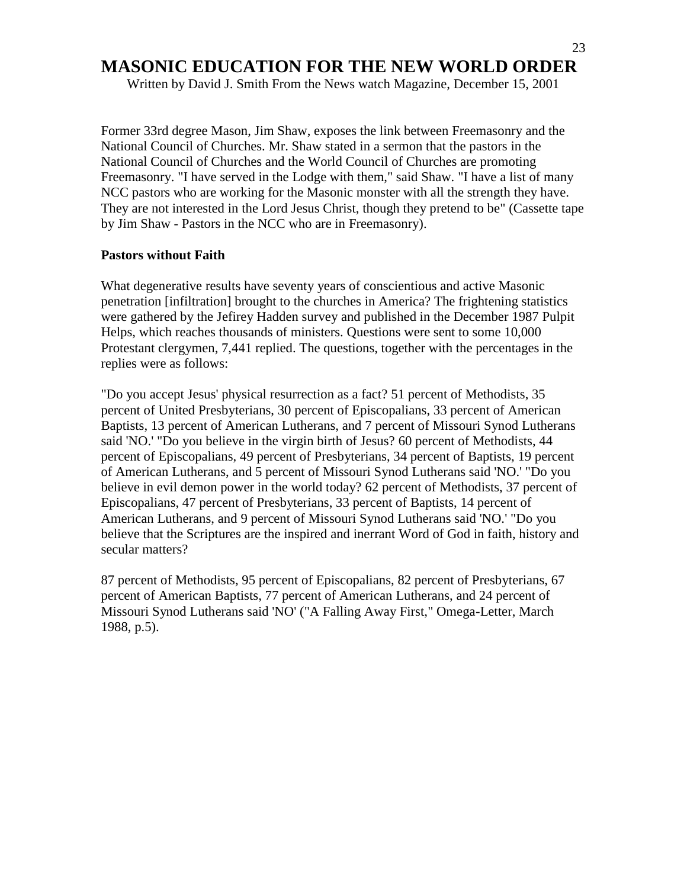Written by David J. Smith From the News watch Magazine, December 15, 2001

Former 33rd degree Mason, Jim Shaw, exposes the link between Freemasonry and the National Council of Churches. Mr. Shaw stated in a sermon that the pastors in the National Council of Churches and the World Council of Churches are promoting Freemasonry. "I have served in the Lodge with them," said Shaw. "I have a list of many NCC pastors who are working for the Masonic monster with all the strength they have. They are not interested in the Lord Jesus Christ, though they pretend to be" (Cassette tape by Jim Shaw - Pastors in the NCC who are in Freemasonry).

#### **Pastors without Faith**

What degenerative results have seventy years of conscientious and active Masonic penetration [infiltration] brought to the churches in America? The frightening statistics were gathered by the Jefirey Hadden survey and published in the December 1987 Pulpit Helps, which reaches thousands of ministers. Questions were sent to some 10,000 Protestant clergymen, 7,441 replied. The questions, together with the percentages in the replies were as follows:

"Do you accept Jesus' physical resurrection as a fact? 51 percent of Methodists, 35 percent of United Presbyterians, 30 percent of Episcopalians, 33 percent of American Baptists, 13 percent of American Lutherans, and 7 percent of Missouri Synod Lutherans said 'NO.' "Do you believe in the virgin birth of Jesus? 60 percent of Methodists, 44 percent of Episcopalians, 49 percent of Presbyterians, 34 percent of Baptists, 19 percent of American Lutherans, and 5 percent of Missouri Synod Lutherans said 'NO.' "Do you believe in evil demon power in the world today? 62 percent of Methodists, 37 percent of Episcopalians, 47 percent of Presbyterians, 33 percent of Baptists, 14 percent of American Lutherans, and 9 percent of Missouri Synod Lutherans said 'NO.' "Do you believe that the Scriptures are the inspired and inerrant Word of God in faith, history and secular matters?

87 percent of Methodists, 95 percent of Episcopalians, 82 percent of Presbyterians, 67 percent of American Baptists, 77 percent of American Lutherans, and 24 percent of Missouri Synod Lutherans said 'NO' ("A Falling Away First," Omega-Letter, March 1988, p.5).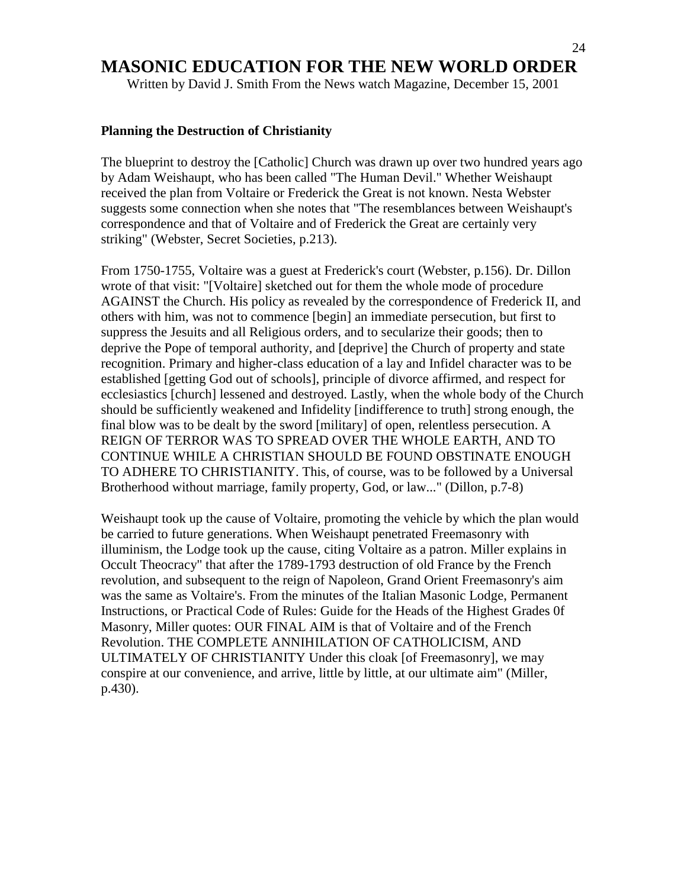Written by David J. Smith From the News watch Magazine, December 15, 2001

#### **Planning the Destruction of Christianity**

The blueprint to destroy the [Catholic] Church was drawn up over two hundred years ago by Adam Weishaupt, who has been called "The Human Devil." Whether Weishaupt received the plan from Voltaire or Frederick the Great is not known. Nesta Webster suggests some connection when she notes that "The resemblances between Weishaupt's correspondence and that of Voltaire and of Frederick the Great are certainly very striking" (Webster, Secret Societies, p.213).

From 1750-1755, Voltaire was a guest at Frederick's court (Webster, p.156). Dr. Dillon wrote of that visit: "[Voltaire] sketched out for them the whole mode of procedure AGAINST the Church. His policy as revealed by the correspondence of Frederick II, and others with him, was not to commence [begin] an immediate persecution, but first to suppress the Jesuits and all Religious orders, and to secularize their goods; then to deprive the Pope of temporal authority, and [deprive] the Church of property and state recognition. Primary and higher-class education of a lay and Infidel character was to be established [getting God out of schools], principle of divorce affirmed, and respect for ecclesiastics [church] lessened and destroyed. Lastly, when the whole body of the Church should be sufficiently weakened and Infidelity [indifference to truth] strong enough, the final blow was to be dealt by the sword [military] of open, relentless persecution. A REIGN OF TERROR WAS TO SPREAD OVER THE WHOLE EARTH, AND TO CONTINUE WHILE A CHRISTIAN SHOULD BE FOUND OBSTINATE ENOUGH TO ADHERE TO CHRISTIANITY. This, of course, was to be followed by a Universal Brotherhood without marriage, family property, God, or law..." (Dillon, p.7-8)

Weishaupt took up the cause of Voltaire, promoting the vehicle by which the plan would be carried to future generations. When Weishaupt penetrated Freemasonry with illuminism, the Lodge took up the cause, citing Voltaire as a patron. Miller explains in Occult Theocracy" that after the 1789-1793 destruction of old France by the French revolution, and subsequent to the reign of Napoleon, Grand Orient Freemasonry's aim was the same as Voltaire's. From the minutes of the Italian Masonic Lodge, Permanent Instructions, or Practical Code of Rules: Guide for the Heads of the Highest Grades 0f Masonry, Miller quotes: OUR FINAL AIM is that of Voltaire and of the French Revolution. THE COMPLETE ANNIHILATION OF CATHOLICISM, AND ULTIMATELY OF CHRISTIANITY Under this cloak [of Freemasonry], we may conspire at our convenience, and arrive, little by little, at our ultimate aim" (Miller, p.430).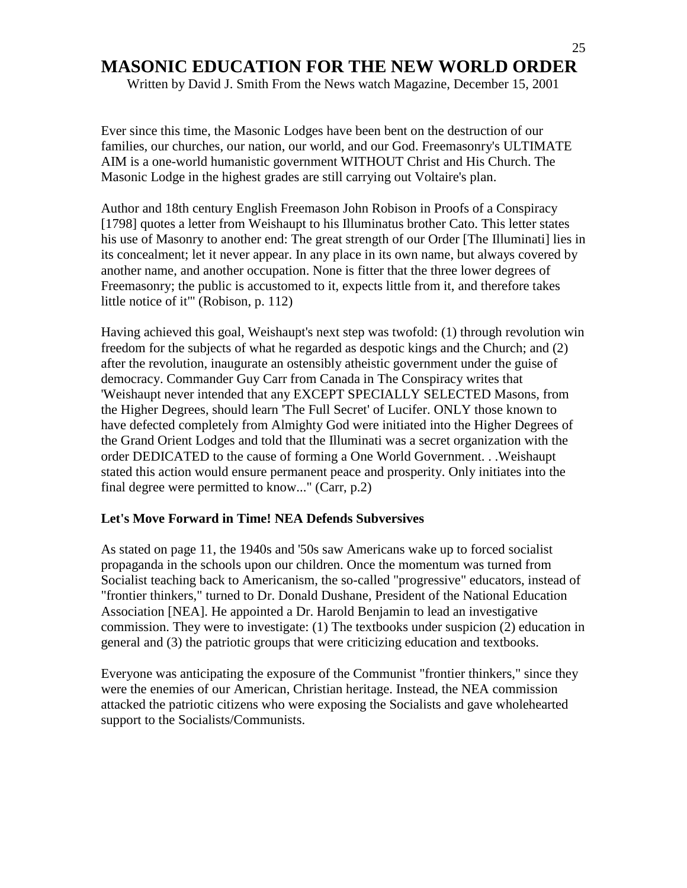Written by David J. Smith From the News watch Magazine, December 15, 2001

Ever since this time, the Masonic Lodges have been bent on the destruction of our families, our churches, our nation, our world, and our God. Freemasonry's ULTIMATE AIM is a one-world humanistic government WITHOUT Christ and His Church. The Masonic Lodge in the highest grades are still carrying out Voltaire's plan.

Author and 18th century English Freemason John Robison in Proofs of a Conspiracy [1798] quotes a letter from Weishaupt to his Illuminatus brother Cato. This letter states his use of Masonry to another end: The great strength of our Order [The Illuminati] lies in its concealment; let it never appear. In any place in its own name, but always covered by another name, and another occupation. None is fitter that the three lower degrees of Freemasonry; the public is accustomed to it, expects little from it, and therefore takes little notice of it"' (Robison, p. 112)

Having achieved this goal, Weishaupt's next step was twofold: (1) through revolution win freedom for the subjects of what he regarded as despotic kings and the Church; and (2) after the revolution, inaugurate an ostensibly atheistic government under the guise of democracy. Commander Guy Carr from Canada in The Conspiracy writes that 'Weishaupt never intended that any EXCEPT SPECIALLY SELECTED Masons, from the Higher Degrees, should learn 'The Full Secret' of Lucifer. ONLY those known to have defected completely from Almighty God were initiated into the Higher Degrees of the Grand Orient Lodges and told that the Illuminati was a secret organization with the order DEDICATED to the cause of forming a One World Government. . .Weishaupt stated this action would ensure permanent peace and prosperity. Only initiates into the final degree were permitted to know..." (Carr, p.2)

#### **Let's Move Forward in Time! NEA Defends Subversives**

As stated on page 11, the 1940s and '50s saw Americans wake up to forced socialist propaganda in the schools upon our children. Once the momentum was turned from Socialist teaching back to Americanism, the so-called "progressive" educators, instead of "frontier thinkers," turned to Dr. Donald Dushane, President of the National Education Association [NEA]. He appointed a Dr. Harold Benjamin to lead an investigative commission. They were to investigate: (1) The textbooks under suspicion (2) education in general and (3) the patriotic groups that were criticizing education and textbooks.

Everyone was anticipating the exposure of the Communist "frontier thinkers," since they were the enemies of our American, Christian heritage. Instead, the NEA commission attacked the patriotic citizens who were exposing the Socialists and gave wholehearted support to the Socialists/Communists.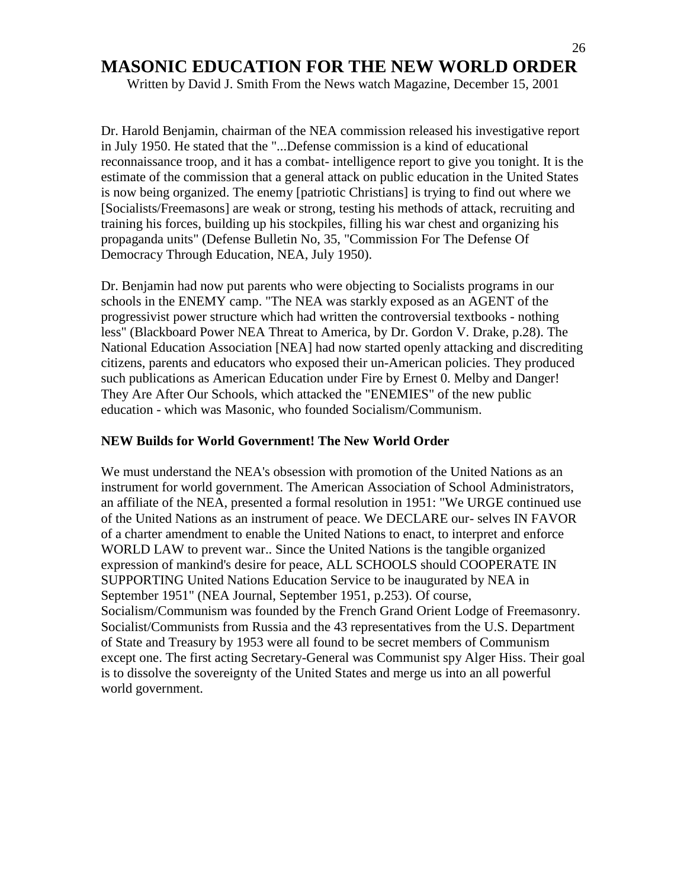Written by David J. Smith From the News watch Magazine, December 15, 2001

Dr. Harold Benjamin, chairman of the NEA commission released his investigative report in July 1950. He stated that the "...Defense commission is a kind of educational reconnaissance troop, and it has a combat- intelligence report to give you tonight. It is the estimate of the commission that a general attack on public education in the United States is now being organized. The enemy [patriotic Christians] is trying to find out where we [Socialists/Freemasons] are weak or strong, testing his methods of attack, recruiting and training his forces, building up his stockpiles, filling his war chest and organizing his propaganda units" (Defense Bulletin No, 35, "Commission For The Defense Of Democracy Through Education, NEA, July 1950).

Dr. Benjamin had now put parents who were objecting to Socialists programs in our schools in the ENEMY camp. "The NEA was starkly exposed as an AGENT of the progressivist power structure which had written the controversial textbooks - nothing less" (Blackboard Power NEA Threat to America, by Dr. Gordon V. Drake, p.28). The National Education Association [NEA] had now started openly attacking and discrediting citizens, parents and educators who exposed their un-American policies. They produced such publications as American Education under Fire by Ernest 0. Melby and Danger! They Are After Our Schools, which attacked the "ENEMIES" of the new public education - which was Masonic, who founded Socialism/Communism.

#### **NEW Builds for World Government! The New World Order**

We must understand the NEA's obsession with promotion of the United Nations as an instrument for world government. The American Association of School Administrators, an affiliate of the NEA, presented a formal resolution in 1951: "We URGE continued use of the United Nations as an instrument of peace. We DECLARE our- selves IN FAVOR of a charter amendment to enable the United Nations to enact, to interpret and enforce WORLD LAW to prevent war.. Since the United Nations is the tangible organized expression of mankind's desire for peace, ALL SCHOOLS should COOPERATE IN SUPPORTING United Nations Education Service to be inaugurated by NEA in September 1951" (NEA Journal, September 1951, p.253). Of course, Socialism/Communism was founded by the French Grand Orient Lodge of Freemasonry. Socialist/Communists from Russia and the 43 representatives from the U.S. Department of State and Treasury by 1953 were all found to be secret members of Communism except one. The first acting Secretary-General was Communist spy Alger Hiss. Their goal is to dissolve the sovereignty of the United States and merge us into an all powerful world government.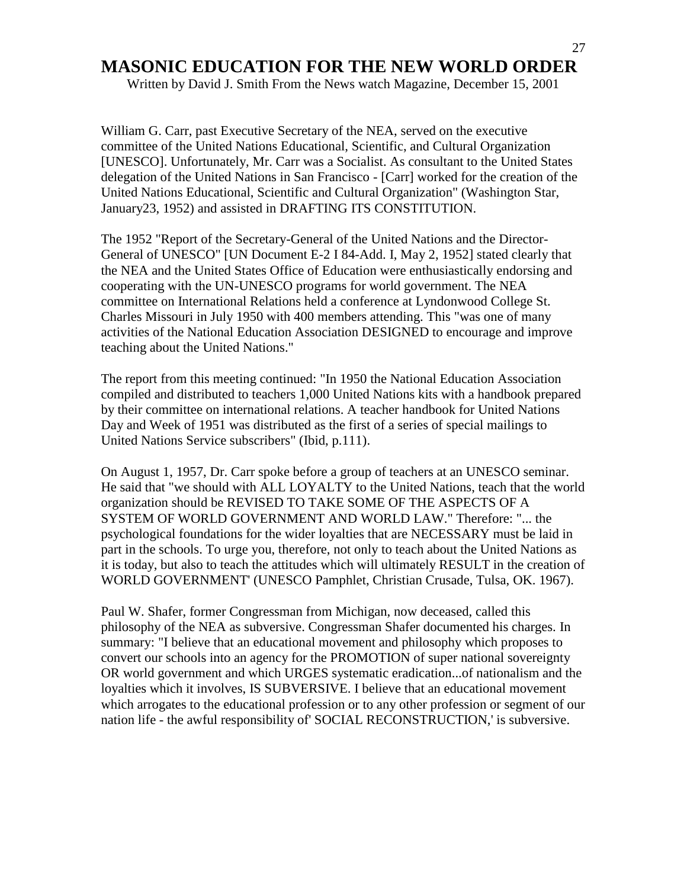Written by David J. Smith From the News watch Magazine, December 15, 2001

William G. Carr, past Executive Secretary of the NEA, served on the executive committee of the United Nations Educational, Scientific, and Cultural Organization [UNESCO]. Unfortunately, Mr. Carr was a Socialist. As consultant to the United States delegation of the United Nations in San Francisco - [Carr] worked for the creation of the United Nations Educational, Scientific and Cultural Organization" (Washington Star, January23, 1952) and assisted in DRAFTING ITS CONSTITUTION.

The 1952 "Report of the Secretary-General of the United Nations and the Director-General of UNESCO" [UN Document E-2 I 84-Add. I, May 2, 1952] stated clearly that the NEA and the United States Office of Education were enthusiastically endorsing and cooperating with the UN-UNESCO programs for world government. The NEA committee on International Relations held a conference at Lyndonwood College St. Charles Missouri in July 1950 with 400 members attending. This "was one of many activities of the National Education Association DESIGNED to encourage and improve teaching about the United Nations."

The report from this meeting continued: "In 1950 the National Education Association compiled and distributed to teachers 1,000 United Nations kits with a handbook prepared by their committee on international relations. A teacher handbook for United Nations Day and Week of 1951 was distributed as the first of a series of special mailings to United Nations Service subscribers" (Ibid, p.111).

On August 1, 1957, Dr. Carr spoke before a group of teachers at an UNESCO seminar. He said that "we should with ALL LOYALTY to the United Nations, teach that the world organization should be REVISED TO TAKE SOME OF THE ASPECTS OF A SYSTEM OF WORLD GOVERNMENT AND WORLD LAW." Therefore: "... the psychological foundations for the wider loyalties that are NECESSARY must be laid in part in the schools. To urge you, therefore, not only to teach about the United Nations as it is today, but also to teach the attitudes which will ultimately RESULT in the creation of WORLD GOVERNMENT' (UNESCO Pamphlet, Christian Crusade, Tulsa, OK. 1967).

Paul W. Shafer, former Congressman from Michigan, now deceased, called this philosophy of the NEA as subversive. Congressman Shafer documented his charges. In summary: "I believe that an educational movement and philosophy which proposes to convert our schools into an agency for the PROMOTION of super national sovereignty OR world government and which URGES systematic eradication...of nationalism and the loyalties which it involves, IS SUBVERSIVE. I believe that an educational movement which arrogates to the educational profession or to any other profession or segment of our nation life - the awful responsibility of' SOCIAL RECONSTRUCTION,' is subversive.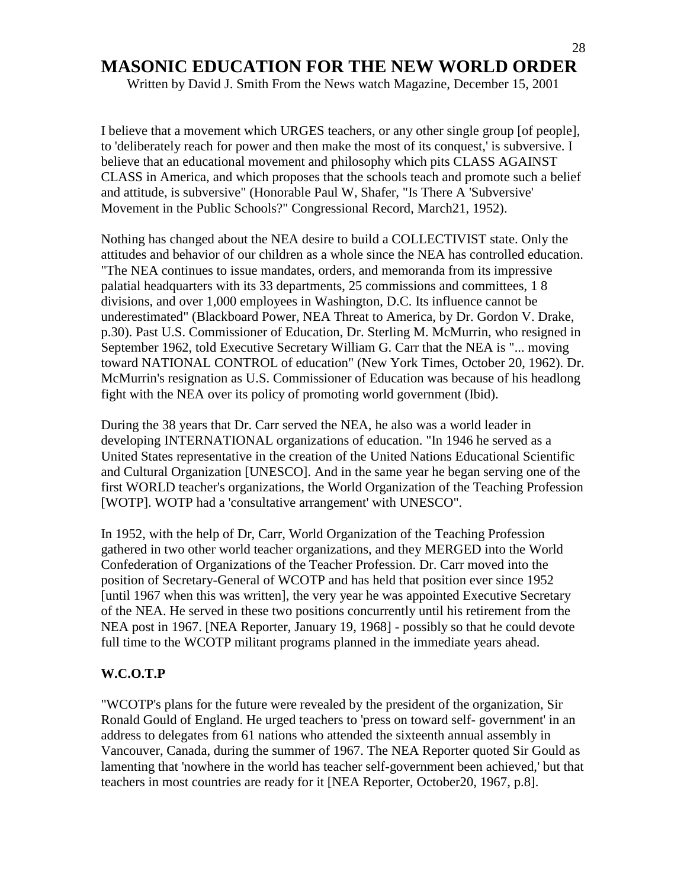Written by David J. Smith From the News watch Magazine, December 15, 2001

I believe that a movement which URGES teachers, or any other single group [of people], to 'deliberately reach for power and then make the most of its conquest,' is subversive. I believe that an educational movement and philosophy which pits CLASS AGAINST CLASS in America, and which proposes that the schools teach and promote such a belief and attitude, is subversive" (Honorable Paul W, Shafer, "Is There A 'Subversive' Movement in the Public Schools?" Congressional Record, March21, 1952).

Nothing has changed about the NEA desire to build a COLLECTIVIST state. Only the attitudes and behavior of our children as a whole since the NEA has controlled education. "The NEA continues to issue mandates, orders, and memoranda from its impressive palatial headquarters with its 33 departments, 25 commissions and committees, 1 8 divisions, and over 1,000 employees in Washington, D.C. Its influence cannot be underestimated" (Blackboard Power, NEA Threat to America, by Dr. Gordon V. Drake, p.30). Past U.S. Commissioner of Education, Dr. Sterling M. McMurrin, who resigned in September 1962, told Executive Secretary William G. Carr that the NEA is "... moving toward NATIONAL CONTROL of education" (New York Times, October 20, 1962). Dr. McMurrin's resignation as U.S. Commissioner of Education was because of his headlong fight with the NEA over its policy of promoting world government (Ibid).

During the 38 years that Dr. Carr served the NEA, he also was a world leader in developing INTERNATIONAL organizations of education. "In 1946 he served as a United States representative in the creation of the United Nations Educational Scientific and Cultural Organization [UNESCO]. And in the same year he began serving one of the first WORLD teacher's organizations, the World Organization of the Teaching Profession [WOTP]. WOTP had a 'consultative arrangement' with UNESCO".

In 1952, with the help of Dr, Carr, World Organization of the Teaching Profession gathered in two other world teacher organizations, and they MERGED into the World Confederation of Organizations of the Teacher Profession. Dr. Carr moved into the position of Secretary-General of WCOTP and has held that position ever since 1952 [until 1967 when this was written], the very year he was appointed Executive Secretary of the NEA. He served in these two positions concurrently until his retirement from the NEA post in 1967. [NEA Reporter, January 19, 1968] - possibly so that he could devote full time to the WCOTP militant programs planned in the immediate years ahead.

#### **W.C.O.T.P**

"WCOTP's plans for the future were revealed by the president of the organization, Sir Ronald Gould of England. He urged teachers to 'press on toward self- government' in an address to delegates from 61 nations who attended the sixteenth annual assembly in Vancouver, Canada, during the summer of 1967. The NEA Reporter quoted Sir Gould as lamenting that 'nowhere in the world has teacher self-government been achieved,' but that teachers in most countries are ready for it [NEA Reporter, October20, 1967, p.8].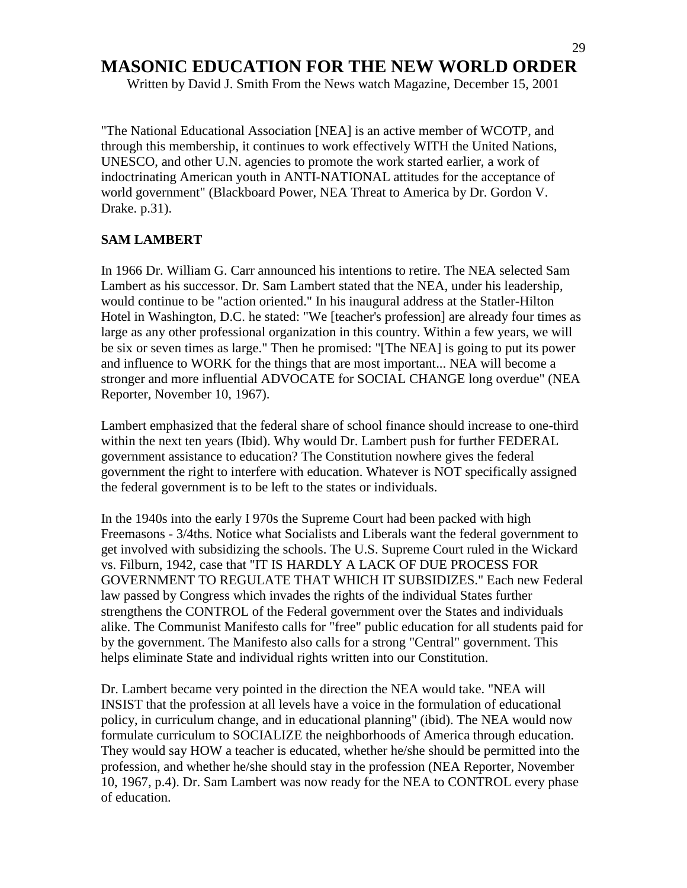Written by David J. Smith From the News watch Magazine, December 15, 2001

"The National Educational Association [NEA] is an active member of WCOTP, and through this membership, it continues to work effectively WITH the United Nations, UNESCO, and other U.N. agencies to promote the work started earlier, a work of indoctrinating American youth in ANTI-NATIONAL attitudes for the acceptance of world government" (Blackboard Power, NEA Threat to America by Dr. Gordon V. Drake. p.31).

#### **SAM LAMBERT**

In 1966 Dr. William G. Carr announced his intentions to retire. The NEA selected Sam Lambert as his successor. Dr. Sam Lambert stated that the NEA, under his leadership, would continue to be "action oriented." In his inaugural address at the Statler-Hilton Hotel in Washington, D.C. he stated: "We [teacher's profession] are already four times as large as any other professional organization in this country. Within a few years, we will be six or seven times as large." Then he promised: "[The NEA] is going to put its power and influence to WORK for the things that are most important... NEA will become a stronger and more influential ADVOCATE for SOCIAL CHANGE long overdue" (NEA Reporter, November 10, 1967).

Lambert emphasized that the federal share of school finance should increase to one-third within the next ten years (Ibid). Why would Dr. Lambert push for further FEDERAL government assistance to education? The Constitution nowhere gives the federal government the right to interfere with education. Whatever is NOT specifically assigned the federal government is to be left to the states or individuals.

In the 1940s into the early I 970s the Supreme Court had been packed with high Freemasons - 3/4ths. Notice what Socialists and Liberals want the federal government to get involved with subsidizing the schools. The U.S. Supreme Court ruled in the Wickard vs. Filburn, 1942, case that "IT IS HARDLY A LACK OF DUE PROCESS FOR GOVERNMENT TO REGULATE THAT WHICH IT SUBSIDIZES." Each new Federal law passed by Congress which invades the rights of the individual States further strengthens the CONTROL of the Federal government over the States and individuals alike. The Communist Manifesto calls for "free" public education for all students paid for by the government. The Manifesto also calls for a strong "Central" government. This helps eliminate State and individual rights written into our Constitution.

Dr. Lambert became very pointed in the direction the NEA would take. "NEA will INSIST that the profession at all levels have a voice in the formulation of educational policy, in curriculum change, and in educational planning" (ibid). The NEA would now formulate curriculum to SOCIALIZE the neighborhoods of America through education. They would say HOW a teacher is educated, whether he/she should be permitted into the profession, and whether he/she should stay in the profession (NEA Reporter, November 10, 1967, p.4). Dr. Sam Lambert was now ready for the NEA to CONTROL every phase of education.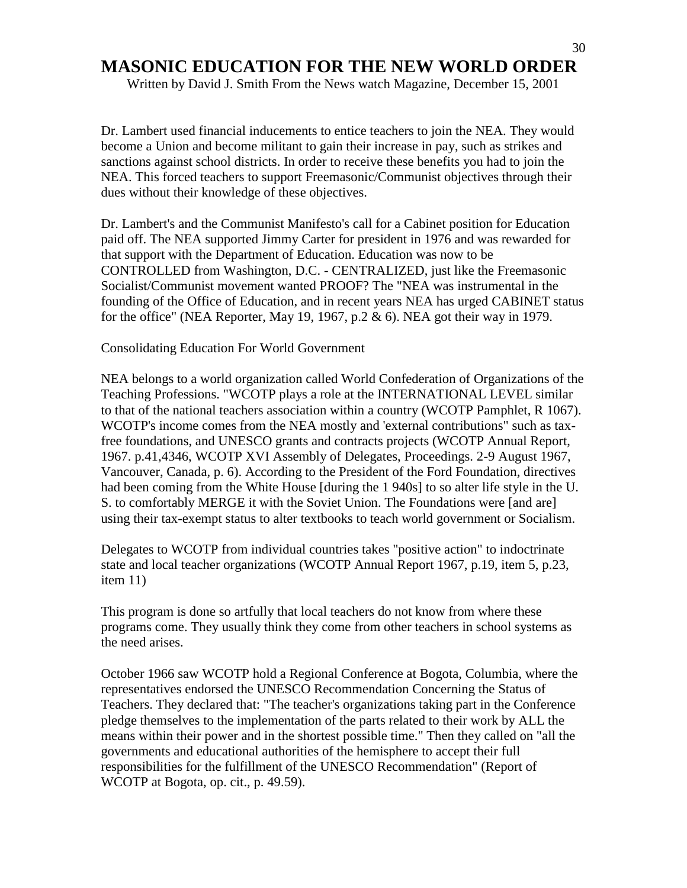Written by David J. Smith From the News watch Magazine, December 15, 2001

Dr. Lambert used financial inducements to entice teachers to join the NEA. They would become a Union and become militant to gain their increase in pay, such as strikes and sanctions against school districts. In order to receive these benefits you had to join the NEA. This forced teachers to support Freemasonic/Communist objectives through their dues without their knowledge of these objectives.

Dr. Lambert's and the Communist Manifesto's call for a Cabinet position for Education paid off. The NEA supported Jimmy Carter for president in 1976 and was rewarded for that support with the Department of Education. Education was now to be CONTROLLED from Washington, D.C. - CENTRALIZED, just like the Freemasonic Socialist/Communist movement wanted PROOF? The "NEA was instrumental in the founding of the Office of Education, and in recent years NEA has urged CABINET status for the office" (NEA Reporter, May 19, 1967, p.2  $\&$  6). NEA got their way in 1979.

Consolidating Education For World Government

NEA belongs to a world organization called World Confederation of Organizations of the Teaching Professions. "WCOTP plays a role at the INTERNATIONAL LEVEL similar to that of the national teachers association within a country (WCOTP Pamphlet, R 1067). WCOTP's income comes from the NEA mostly and 'external contributions" such as taxfree foundations, and UNESCO grants and contracts projects (WCOTP Annual Report, 1967. p.41,4346, WCOTP XVI Assembly of Delegates, Proceedings. 2-9 August 1967, Vancouver, Canada, p. 6). According to the President of the Ford Foundation, directives had been coming from the White House [during the 1 940s] to so alter life style in the U. S. to comfortably MERGE it with the Soviet Union. The Foundations were [and are] using their tax-exempt status to alter textbooks to teach world government or Socialism.

Delegates to WCOTP from individual countries takes "positive action" to indoctrinate state and local teacher organizations (WCOTP Annual Report 1967, p.19, item 5, p.23, item 11)

This program is done so artfully that local teachers do not know from where these programs come. They usually think they come from other teachers in school systems as the need arises.

October 1966 saw WCOTP hold a Regional Conference at Bogota, Columbia, where the representatives endorsed the UNESCO Recommendation Concerning the Status of Teachers. They declared that: "The teacher's organizations taking part in the Conference pledge themselves to the implementation of the parts related to their work by ALL the means within their power and in the shortest possible time." Then they called on "all the governments and educational authorities of the hemisphere to accept their full responsibilities for the fulfillment of the UNESCO Recommendation" (Report of WCOTP at Bogota, op. cit., p. 49.59).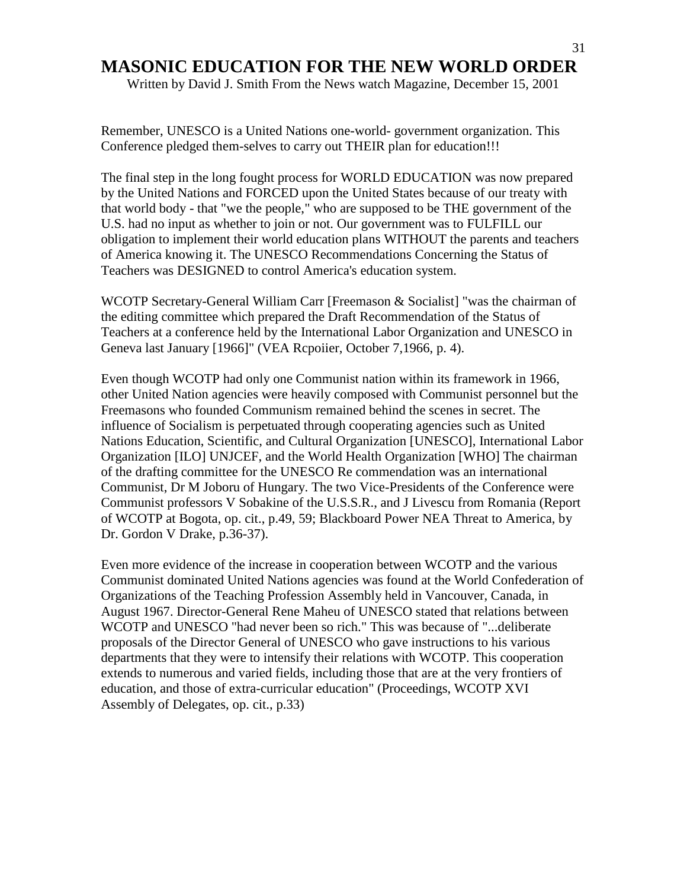Written by David J. Smith From the News watch Magazine, December 15, 2001

Remember, UNESCO is a United Nations one-world- government organization. This Conference pledged them-selves to carry out THEIR plan for education!!!

The final step in the long fought process for WORLD EDUCATION was now prepared by the United Nations and FORCED upon the United States because of our treaty with that world body - that "we the people," who are supposed to be THE government of the U.S. had no input as whether to join or not. Our government was to FULFILL our obligation to implement their world education plans WITHOUT the parents and teachers of America knowing it. The UNESCO Recommendations Concerning the Status of Teachers was DESIGNED to control America's education system.

WCOTP Secretary-General William Carr [Freemason & Socialist] "was the chairman of the editing committee which prepared the Draft Recommendation of the Status of Teachers at a conference held by the International Labor Organization and UNESCO in Geneva last January [1966]" (VEA Rcpoiier, October 7,1966, p. 4).

Even though WCOTP had only one Communist nation within its framework in 1966, other United Nation agencies were heavily composed with Communist personnel but the Freemasons who founded Communism remained behind the scenes in secret. The influence of Socialism is perpetuated through cooperating agencies such as United Nations Education, Scientific, and Cultural Organization [UNESCO], International Labor Organization [ILO] UNJCEF, and the World Health Organization [WHO] The chairman of the drafting committee for the UNESCO Re commendation was an international Communist, Dr M Joboru of Hungary. The two Vice-Presidents of the Conference were Communist professors V Sobakine of the U.S.S.R., and J Livescu from Romania (Report of WCOTP at Bogota, op. cit., p.49, 59; Blackboard Power NEA Threat to America, by Dr. Gordon V Drake, p.36-37).

Even more evidence of the increase in cooperation between WCOTP and the various Communist dominated United Nations agencies was found at the World Confederation of Organizations of the Teaching Profession Assembly held in Vancouver, Canada, in August 1967. Director-General Rene Maheu of UNESCO stated that relations between WCOTP and UNESCO "had never been so rich." This was because of "...deliberate proposals of the Director General of UNESCO who gave instructions to his various departments that they were to intensify their relations with WCOTP. This cooperation extends to numerous and varied fields, including those that are at the very frontiers of education, and those of extra-curricular education" (Proceedings, WCOTP XVI Assembly of Delegates, op. cit., p.33)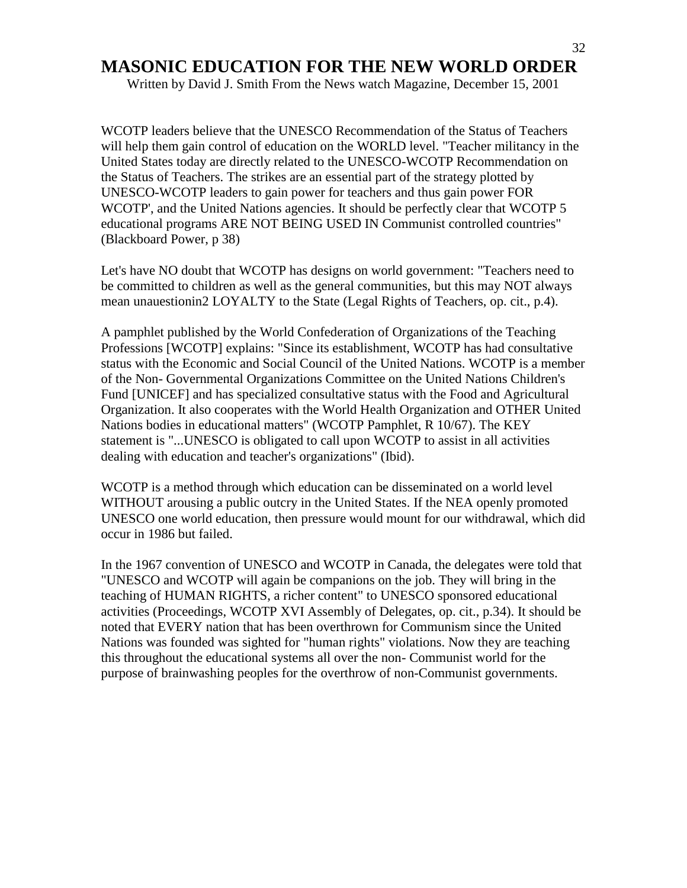Written by David J. Smith From the News watch Magazine, December 15, 2001

WCOTP leaders believe that the UNESCO Recommendation of the Status of Teachers will help them gain control of education on the WORLD level. "Teacher militancy in the United States today are directly related to the UNESCO-WCOTP Recommendation on the Status of Teachers. The strikes are an essential part of the strategy plotted by UNESCO-WCOTP leaders to gain power for teachers and thus gain power FOR WCOTP', and the United Nations agencies. It should be perfectly clear that WCOTP 5 educational programs ARE NOT BEING USED IN Communist controlled countries" (Blackboard Power, p 38)

Let's have NO doubt that WCOTP has designs on world government: "Teachers need to be committed to children as well as the general communities, but this may NOT always mean unauestionin2 LOYALTY to the State (Legal Rights of Teachers, op. cit., p.4).

A pamphlet published by the World Confederation of Organizations of the Teaching Professions [WCOTP] explains: "Since its establishment, WCOTP has had consultative status with the Economic and Social Council of the United Nations. WCOTP is a member of the Non- Governmental Organizations Committee on the United Nations Children's Fund [UNICEF] and has specialized consultative status with the Food and Agricultural Organization. It also cooperates with the World Health Organization and OTHER United Nations bodies in educational matters" (WCOTP Pamphlet, R 10/67). The KEY statement is "...UNESCO is obligated to call upon WCOTP to assist in all activities dealing with education and teacher's organizations" (Ibid).

WCOTP is a method through which education can be disseminated on a world level WITHOUT arousing a public outcry in the United States. If the NEA openly promoted UNESCO one world education, then pressure would mount for our withdrawal, which did occur in 1986 but failed.

In the 1967 convention of UNESCO and WCOTP in Canada, the delegates were told that "UNESCO and WCOTP will again be companions on the job. They will bring in the teaching of HUMAN RIGHTS, a richer content" to UNESCO sponsored educational activities (Proceedings, WCOTP XVI Assembly of Delegates, op. cit., p.34). It should be noted that EVERY nation that has been overthrown for Communism since the United Nations was founded was sighted for "human rights" violations. Now they are teaching this throughout the educational systems all over the non- Communist world for the purpose of brainwashing peoples for the overthrow of non-Communist governments.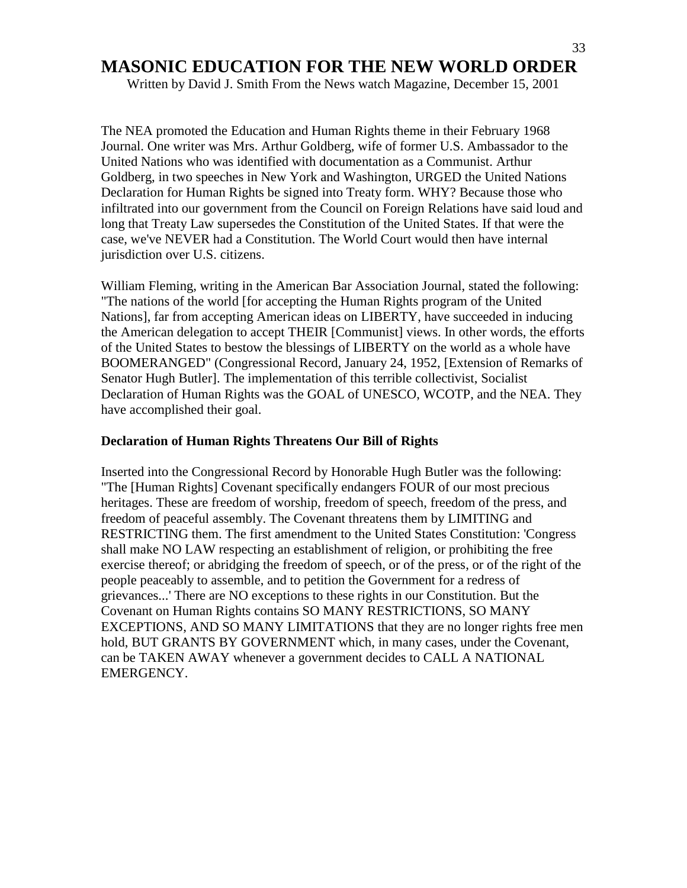Written by David J. Smith From the News watch Magazine, December 15, 2001

The NEA promoted the Education and Human Rights theme in their February 1968 Journal. One writer was Mrs. Arthur Goldberg, wife of former U.S. Ambassador to the United Nations who was identified with documentation as a Communist. Arthur Goldberg, in two speeches in New York and Washington, URGED the United Nations Declaration for Human Rights be signed into Treaty form. WHY? Because those who infiltrated into our government from the Council on Foreign Relations have said loud and long that Treaty Law supersedes the Constitution of the United States. If that were the case, we've NEVER had a Constitution. The World Court would then have internal jurisdiction over U.S. citizens.

William Fleming, writing in the American Bar Association Journal, stated the following: "The nations of the world [for accepting the Human Rights program of the United Nations], far from accepting American ideas on LIBERTY, have succeeded in inducing the American delegation to accept THEIR [Communist] views. In other words, the efforts of the United States to bestow the blessings of LIBERTY on the world as a whole have BOOMERANGED" (Congressional Record, January 24, 1952, [Extension of Remarks of Senator Hugh Butler]. The implementation of this terrible collectivist, Socialist Declaration of Human Rights was the GOAL of UNESCO, WCOTP, and the NEA. They have accomplished their goal.

#### **Declaration of Human Rights Threatens Our Bill of Rights**

Inserted into the Congressional Record by Honorable Hugh Butler was the following: "The [Human Rights] Covenant specifically endangers FOUR of our most precious heritages. These are freedom of worship, freedom of speech, freedom of the press, and freedom of peaceful assembly. The Covenant threatens them by LIMITING and RESTRICTING them. The first amendment to the United States Constitution: 'Congress shall make NO LAW respecting an establishment of religion, or prohibiting the free exercise thereof; or abridging the freedom of speech, or of the press, or of the right of the people peaceably to assemble, and to petition the Government for a redress of grievances...' There are NO exceptions to these rights in our Constitution. But the Covenant on Human Rights contains SO MANY RESTRICTIONS, SO MANY EXCEPTIONS, AND SO MANY LIMITATIONS that they are no longer rights free men hold, BUT GRANTS BY GOVERNMENT which, in many cases, under the Covenant, can be TAKEN AWAY whenever a government decides to CALL A NATIONAL EMERGENCY.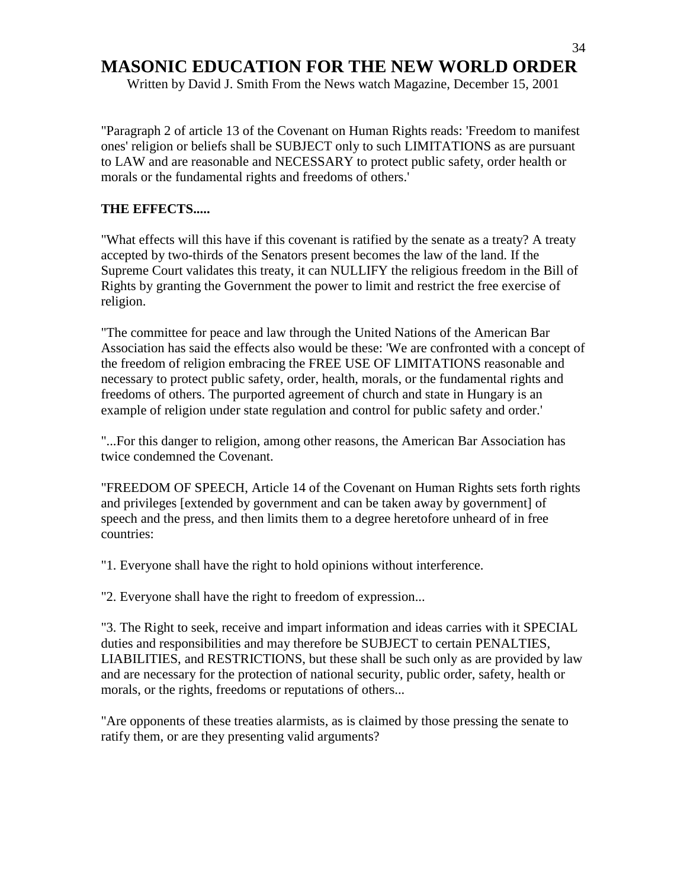Written by David J. Smith From the News watch Magazine, December 15, 2001

"Paragraph 2 of article 13 of the Covenant on Human Rights reads: 'Freedom to manifest ones' religion or beliefs shall be SUBJECT only to such LIMITATIONS as are pursuant to LAW and are reasonable and NECESSARY to protect public safety, order health or morals or the fundamental rights and freedoms of others.'

#### **THE EFFECTS.....**

"What effects will this have if this covenant is ratified by the senate as a treaty? A treaty accepted by two-thirds of the Senators present becomes the law of the land. If the Supreme Court validates this treaty, it can NULLIFY the religious freedom in the Bill of Rights by granting the Government the power to limit and restrict the free exercise of religion.

"The committee for peace and law through the United Nations of the American Bar Association has said the effects also would be these: 'We are confronted with a concept of the freedom of religion embracing the FREE USE OF LIMITATIONS reasonable and necessary to protect public safety, order, health, morals, or the fundamental rights and freedoms of others. The purported agreement of church and state in Hungary is an example of religion under state regulation and control for public safety and order.'

"...For this danger to religion, among other reasons, the American Bar Association has twice condemned the Covenant.

"FREEDOM OF SPEECH, Article 14 of the Covenant on Human Rights sets forth rights and privileges [extended by government and can be taken away by government] of speech and the press, and then limits them to a degree heretofore unheard of in free countries:

"1. Everyone shall have the right to hold opinions without interference.

"2. Everyone shall have the right to freedom of expression...

"3. The Right to seek, receive and impart information and ideas carries with it SPECIAL duties and responsibilities and may therefore be SUBJECT to certain PENALTIES, LIABILITIES, and RESTRICTIONS, but these shall be such only as are provided by law and are necessary for the protection of national security, public order, safety, health or morals, or the rights, freedoms or reputations of others...

"Are opponents of these treaties alarmists, as is claimed by those pressing the senate to ratify them, or are they presenting valid arguments?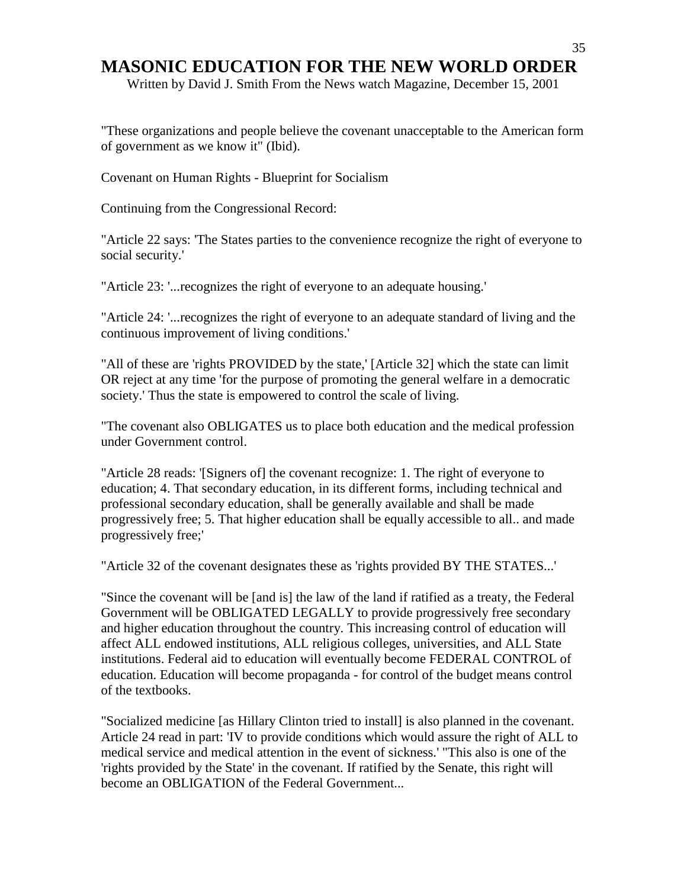Written by David J. Smith From the News watch Magazine, December 15, 2001

"These organizations and people believe the covenant unacceptable to the American form of government as we know it" (Ibid).

Covenant on Human Rights - Blueprint for Socialism

Continuing from the Congressional Record:

"Article 22 says: 'The States parties to the convenience recognize the right of everyone to social security.'

"Article 23: '...recognizes the right of everyone to an adequate housing.'

"Article 24: '...recognizes the right of everyone to an adequate standard of living and the continuous improvement of living conditions.'

"All of these are 'rights PROVIDED by the state,' [Article 32] which the state can limit OR reject at any time 'for the purpose of promoting the general welfare in a democratic society.' Thus the state is empowered to control the scale of living.

"The covenant also OBLIGATES us to place both education and the medical profession under Government control.

"Article 28 reads: '[Signers of] the covenant recognize: 1. The right of everyone to education; 4. That secondary education, in its different forms, including technical and professional secondary education, shall be generally available and shall be made progressively free; 5. That higher education shall be equally accessible to all.. and made progressively free;'

"Article 32 of the covenant designates these as 'rights provided BY THE STATES...'

"Since the covenant will be [and is] the law of the land if ratified as a treaty, the Federal Government will be OBLIGATED LEGALLY to provide progressively free secondary and higher education throughout the country. This increasing control of education will affect ALL endowed institutions, ALL religious colleges, universities, and ALL State institutions. Federal aid to education will eventually become FEDERAL CONTROL of education. Education will become propaganda - for control of the budget means control of the textbooks.

"Socialized medicine [as Hillary Clinton tried to install] is also planned in the covenant. Article 24 read in part: 'IV to provide conditions which would assure the right of ALL to medical service and medical attention in the event of sickness.' "This also is one of the 'rights provided by the State' in the covenant. If ratified by the Senate, this right will become an OBLIGATION of the Federal Government...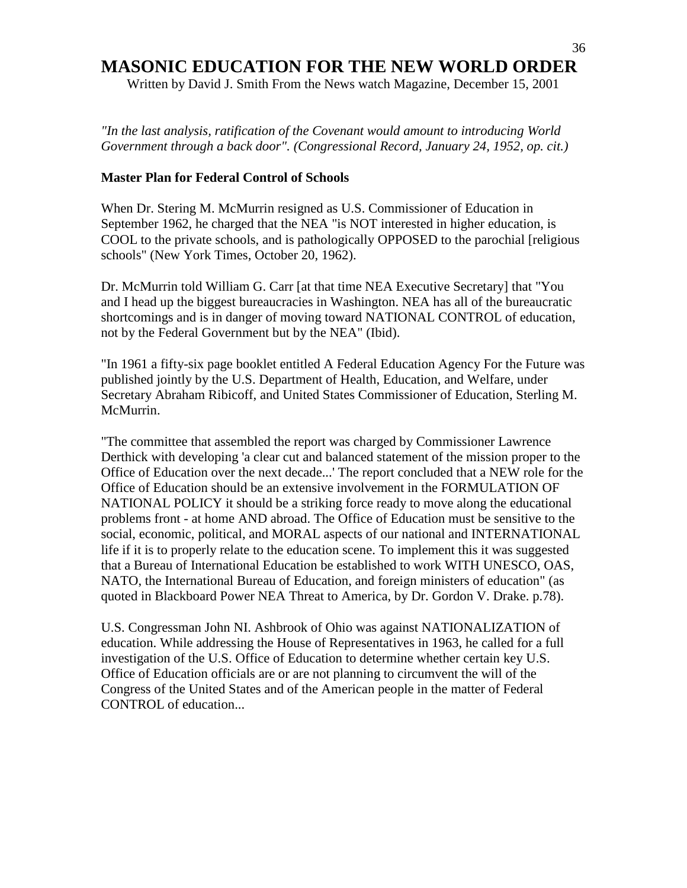Written by David J. Smith From the News watch Magazine, December 15, 2001

*"In the last analysis, ratification of the Covenant would amount to introducing World Government through a back door". (Congressional Record, January 24, 1952, op. cit.)*

#### **Master Plan for Federal Control of Schools**

When Dr. Stering M. McMurrin resigned as U.S. Commissioner of Education in September 1962, he charged that the NEA "is NOT interested in higher education, is COOL to the private schools, and is pathologically OPPOSED to the parochial [religious schools" (New York Times, October 20, 1962).

Dr. McMurrin told William G. Carr [at that time NEA Executive Secretary] that "You and I head up the biggest bureaucracies in Washington. NEA has all of the bureaucratic shortcomings and is in danger of moving toward NATIONAL CONTROL of education, not by the Federal Government but by the NEA" (Ibid).

"In 1961 a fifty-six page booklet entitled A Federal Education Agency For the Future was published jointly by the U.S. Department of Health, Education, and Welfare, under Secretary Abraham Ribicoff, and United States Commissioner of Education, Sterling M. McMurrin.

"The committee that assembled the report was charged by Commissioner Lawrence Derthick with developing 'a clear cut and balanced statement of the mission proper to the Office of Education over the next decade...' The report concluded that a NEW role for the Office of Education should be an extensive involvement in the FORMULATION OF NATIONAL POLICY it should be a striking force ready to move along the educational problems front - at home AND abroad. The Office of Education must be sensitive to the social, economic, political, and MORAL aspects of our national and INTERNATIONAL life if it is to properly relate to the education scene. To implement this it was suggested that a Bureau of International Education be established to work WITH UNESCO, OAS, NATO, the International Bureau of Education, and foreign ministers of education" (as quoted in Blackboard Power NEA Threat to America, by Dr. Gordon V. Drake. p.78).

U.S. Congressman John NI. Ashbrook of Ohio was against NATIONALIZATION of education. While addressing the House of Representatives in 1963, he called for a full investigation of the U.S. Office of Education to determine whether certain key U.S. Office of Education officials are or are not planning to circumvent the will of the Congress of the United States and of the American people in the matter of Federal CONTROL of education...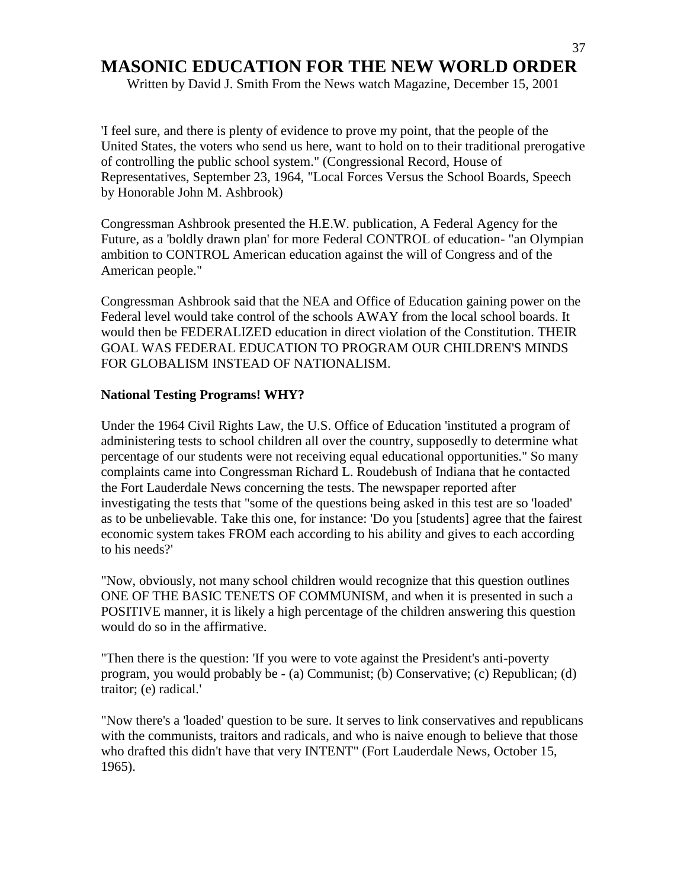Written by David J. Smith From the News watch Magazine, December 15, 2001

'I feel sure, and there is plenty of evidence to prove my point, that the people of the United States, the voters who send us here, want to hold on to their traditional prerogative of controlling the public school system." (Congressional Record, House of Representatives, September 23, 1964, "Local Forces Versus the School Boards, Speech by Honorable John M. Ashbrook)

Congressman Ashbrook presented the H.E.W. publication, A Federal Agency for the Future, as a 'boldly drawn plan' for more Federal CONTROL of education- "an Olympian ambition to CONTROL American education against the will of Congress and of the American people."

Congressman Ashbrook said that the NEA and Office of Education gaining power on the Federal level would take control of the schools AWAY from the local school boards. It would then be FEDERALIZED education in direct violation of the Constitution. THEIR GOAL WAS FEDERAL EDUCATION TO PROGRAM OUR CHILDREN'S MINDS FOR GLOBALISM INSTEAD OF NATIONALISM.

#### **National Testing Programs! WHY?**

Under the 1964 Civil Rights Law, the U.S. Office of Education 'instituted a program of administering tests to school children all over the country, supposedly to determine what percentage of our students were not receiving equal educational opportunities." So many complaints came into Congressman Richard L. Roudebush of Indiana that he contacted the Fort Lauderdale News concerning the tests. The newspaper reported after investigating the tests that "some of the questions being asked in this test are so 'loaded' as to be unbelievable. Take this one, for instance: 'Do you [students] agree that the fairest economic system takes FROM each according to his ability and gives to each according to his needs?'

"Now, obviously, not many school children would recognize that this question outlines ONE OF THE BASIC TENETS OF COMMUNISM, and when it is presented in such a POSITIVE manner, it is likely a high percentage of the children answering this question would do so in the affirmative.

"Then there is the question: 'If you were to vote against the President's anti-poverty program, you would probably be - (a) Communist; (b) Conservative; (c) Republican; (d) traitor; (e) radical.'

"Now there's a 'loaded' question to be sure. It serves to link conservatives and republicans with the communists, traitors and radicals, and who is naive enough to believe that those who drafted this didn't have that very INTENT" (Fort Lauderdale News, October 15, 1965).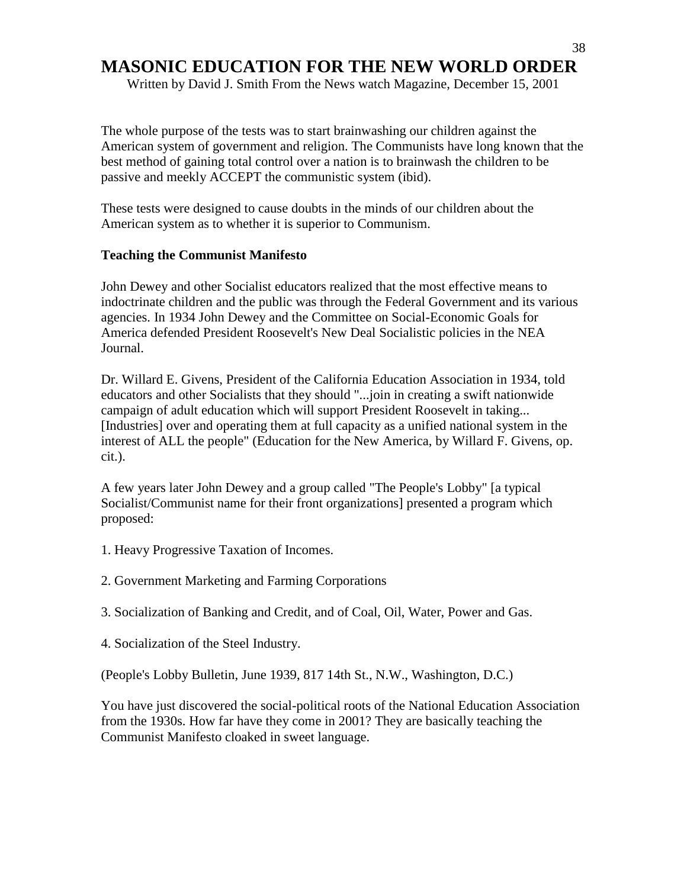Written by David J. Smith From the News watch Magazine, December 15, 2001

The whole purpose of the tests was to start brainwashing our children against the American system of government and religion. The Communists have long known that the best method of gaining total control over a nation is to brainwash the children to be passive and meekly ACCEPT the communistic system (ibid).

These tests were designed to cause doubts in the minds of our children about the American system as to whether it is superior to Communism.

#### **Teaching the Communist Manifesto**

John Dewey and other Socialist educators realized that the most effective means to indoctrinate children and the public was through the Federal Government and its various agencies. In 1934 John Dewey and the Committee on Social-Economic Goals for America defended President Roosevelt's New Deal Socialistic policies in the NEA Journal.

Dr. Willard E. Givens, President of the California Education Association in 1934, told educators and other Socialists that they should "...join in creating a swift nationwide campaign of adult education which will support President Roosevelt in taking... [Industries] over and operating them at full capacity as a unified national system in the interest of ALL the people" (Education for the New America, by Willard F. Givens, op. cit.).

A few years later John Dewey and a group called "The People's Lobby" [a typical Socialist/Communist name for their front organizations] presented a program which proposed:

- 1. Heavy Progressive Taxation of Incomes.
- 2. Government Marketing and Farming Corporations
- 3. Socialization of Banking and Credit, and of Coal, Oil, Water, Power and Gas.
- 4. Socialization of the Steel Industry.

(People's Lobby Bulletin, June 1939, 817 14th St., N.W., Washington, D.C.)

You have just discovered the social-political roots of the National Education Association from the 1930s. How far have they come in 2001? They are basically teaching the Communist Manifesto cloaked in sweet language.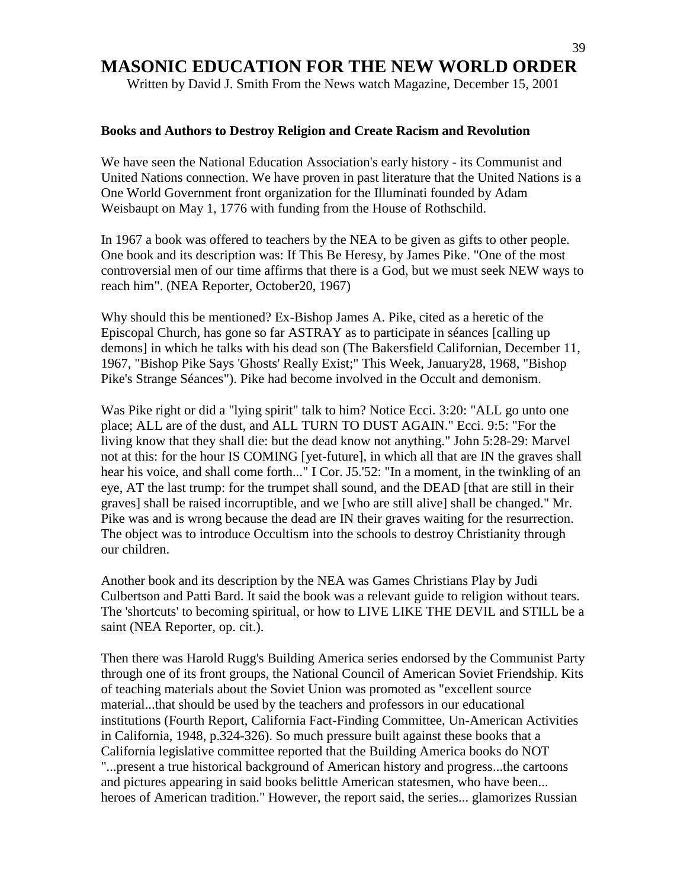Written by David J. Smith From the News watch Magazine, December 15, 2001

#### **Books and Authors to Destroy Religion and Create Racism and Revolution**

We have seen the National Education Association's early history - its Communist and United Nations connection. We have proven in past literature that the United Nations is a One World Government front organization for the Illuminati founded by Adam Weisbaupt on May 1, 1776 with funding from the House of Rothschild.

In 1967 a book was offered to teachers by the NEA to be given as gifts to other people. One book and its description was: If This Be Heresy, by James Pike. "One of the most controversial men of our time affirms that there is a God, but we must seek NEW ways to reach him". (NEA Reporter, October20, 1967)

Why should this be mentioned? Ex-Bishop James A. Pike, cited as a heretic of the Episcopal Church, has gone so far ASTRAY as to participate in séances [calling up demons] in which he talks with his dead son (The Bakersfield Californian, December 11, 1967, "Bishop Pike Says 'Ghosts' Really Exist;" This Week, January28, 1968, "Bishop Pike's Strange Séances"). Pike had become involved in the Occult and demonism.

Was Pike right or did a "lying spirit" talk to him? Notice Ecci. 3:20: "ALL go unto one place; ALL are of the dust, and ALL TURN TO DUST AGAIN." Ecci. 9:5: "For the living know that they shall die: but the dead know not anything." John 5:28-29: Marvel not at this: for the hour IS COMING [yet-future], in which all that are IN the graves shall hear his voice, and shall come forth..." I Cor. J5.'52: "In a moment, in the twinkling of an eye, AT the last trump: for the trumpet shall sound, and the DEAD [that are still in their graves] shall be raised incorruptible, and we [who are still alive] shall be changed." Mr. Pike was and is wrong because the dead are IN their graves waiting for the resurrection. The object was to introduce Occultism into the schools to destroy Christianity through our children.

Another book and its description by the NEA was Games Christians Play by Judi Culbertson and Patti Bard. It said the book was a relevant guide to religion without tears. The 'shortcuts' to becoming spiritual, or how to LIVE LIKE THE DEVIL and STILL be a saint (NEA Reporter, op. cit.).

Then there was Harold Rugg's Building America series endorsed by the Communist Party through one of its front groups, the National Council of American Soviet Friendship. Kits of teaching materials about the Soviet Union was promoted as "excellent source material...that should be used by the teachers and professors in our educational institutions (Fourth Report, California Fact-Finding Committee, Un-American Activities in California, 1948, p.324-326). So much pressure built against these books that a California legislative committee reported that the Building America books do NOT "...present a true historical background of American history and progress...the cartoons and pictures appearing in said books belittle American statesmen, who have been... heroes of American tradition." However, the report said, the series... glamorizes Russian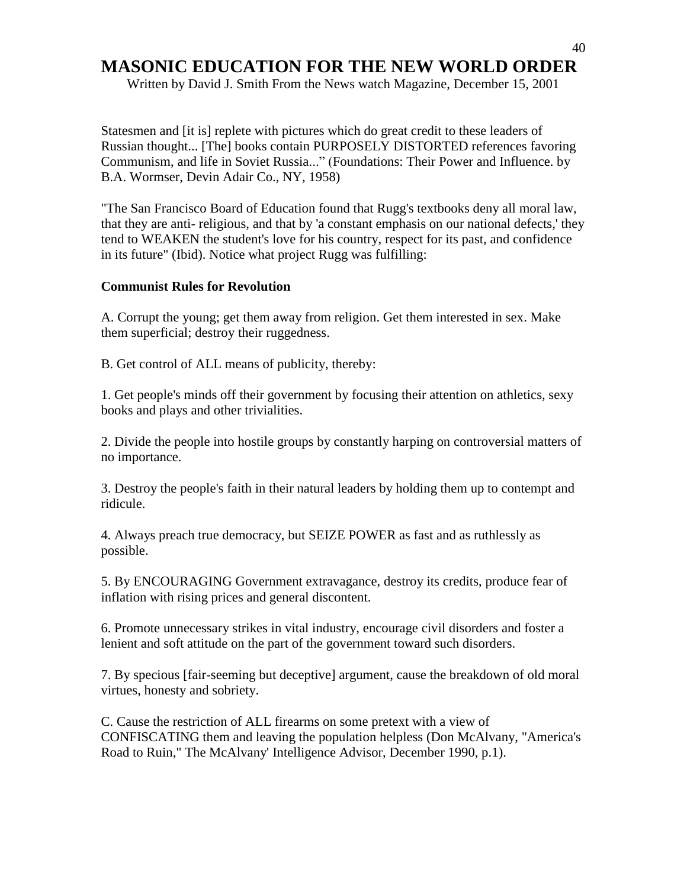Written by David J. Smith From the News watch Magazine, December 15, 2001

Statesmen and [it is] replete with pictures which do great credit to these leaders of Russian thought... [The] books contain PURPOSELY DISTORTED references favoring Communism, and life in Soviet Russia..." (Foundations: Their Power and Influence. by B.A. Wormser, Devin Adair Co., NY, 1958)

"The San Francisco Board of Education found that Rugg's textbooks deny all moral law, that they are anti- religious, and that by 'a constant emphasis on our national defects,' they tend to WEAKEN the student's love for his country, respect for its past, and confidence in its future" (Ibid). Notice what project Rugg was fulfilling:

#### **Communist Rules for Revolution**

A. Corrupt the young; get them away from religion. Get them interested in sex. Make them superficial; destroy their ruggedness.

B. Get control of ALL means of publicity, thereby:

1. Get people's minds off their government by focusing their attention on athletics, sexy books and plays and other trivialities.

2. Divide the people into hostile groups by constantly harping on controversial matters of no importance.

3. Destroy the people's faith in their natural leaders by holding them up to contempt and ridicule.

4. Always preach true democracy, but SEIZE POWER as fast and as ruthlessly as possible.

5. By ENCOURAGING Government extravagance, destroy its credits, produce fear of inflation with rising prices and general discontent.

6. Promote unnecessary strikes in vital industry, encourage civil disorders and foster a lenient and soft attitude on the part of the government toward such disorders.

7. By specious [fair-seeming but deceptive] argument, cause the breakdown of old moral virtues, honesty and sobriety.

C. Cause the restriction of ALL firearms on some pretext with a view of CONFISCATING them and leaving the population helpless (Don McAlvany, "America's Road to Ruin," The McAlvany' Intelligence Advisor, December 1990, p.1).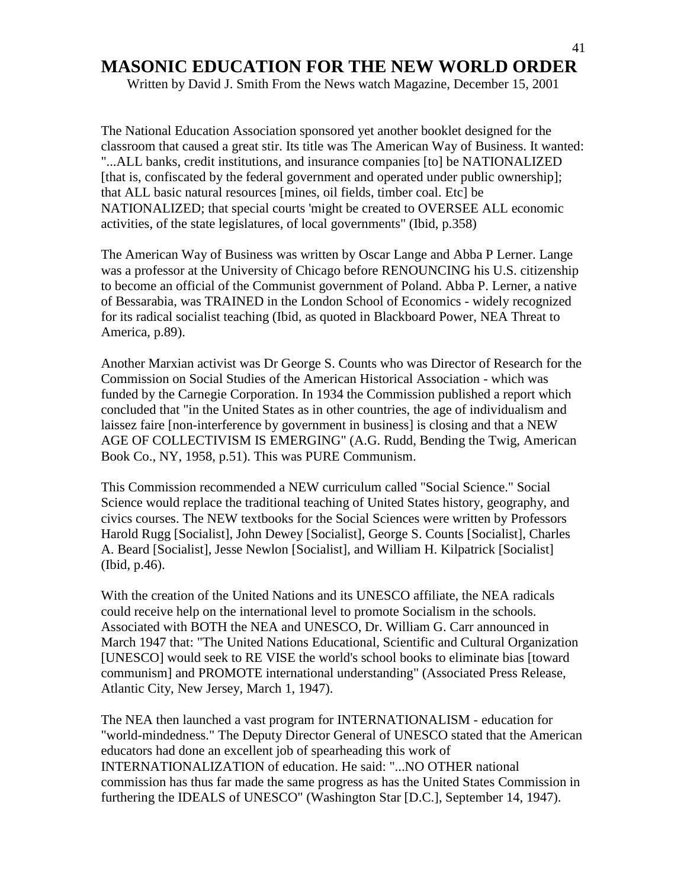Written by David J. Smith From the News watch Magazine, December 15, 2001

The National Education Association sponsored yet another booklet designed for the classroom that caused a great stir. Its title was The American Way of Business. It wanted: "...ALL banks, credit institutions, and insurance companies [to] be NATIONALIZED [that is, confiscated by the federal government and operated under public ownership]; that ALL basic natural resources [mines, oil fields, timber coal. Etc] be NATIONALIZED; that special courts 'might be created to OVERSEE ALL economic activities, of the state legislatures, of local governments" (Ibid, p.358)

The American Way of Business was written by Oscar Lange and Abba P Lerner. Lange was a professor at the University of Chicago before RENOUNCING his U.S. citizenship to become an official of the Communist government of Poland. Abba P. Lerner, a native of Bessarabia, was TRAINED in the London School of Economics - widely recognized for its radical socialist teaching (Ibid, as quoted in Blackboard Power, NEA Threat to America, p.89).

Another Marxian activist was Dr George S. Counts who was Director of Research for the Commission on Social Studies of the American Historical Association - which was funded by the Carnegie Corporation. In 1934 the Commission published a report which concluded that "in the United States as in other countries, the age of individualism and laissez faire [non-interference by government in business] is closing and that a NEW AGE OF COLLECTIVISM IS EMERGING" (A.G. Rudd, Bending the Twig, American Book Co., NY, 1958, p.51). This was PURE Communism.

This Commission recommended a NEW curriculum called "Social Science." Social Science would replace the traditional teaching of United States history, geography, and civics courses. The NEW textbooks for the Social Sciences were written by Professors Harold Rugg [Socialist], John Dewey [Socialist], George S. Counts [Socialist], Charles A. Beard [Socialist], Jesse Newlon [Socialist], and William H. Kilpatrick [Socialist] (Ibid, p.46).

With the creation of the United Nations and its UNESCO affiliate, the NEA radicals could receive help on the international level to promote Socialism in the schools. Associated with BOTH the NEA and UNESCO, Dr. William G. Carr announced in March 1947 that: "The United Nations Educational, Scientific and Cultural Organization [UNESCO] would seek to RE VISE the world's school books to eliminate bias [toward communism] and PROMOTE international understanding" (Associated Press Release, Atlantic City, New Jersey, March 1, 1947).

The NEA then launched a vast program for INTERNATIONALISM - education for "world-mindedness." The Deputy Director General of UNESCO stated that the American educators had done an excellent job of spearheading this work of INTERNATIONALIZATION of education. He said: "...NO OTHER national commission has thus far made the same progress as has the United States Commission in furthering the IDEALS of UNESCO" (Washington Star [D.C.], September 14, 1947).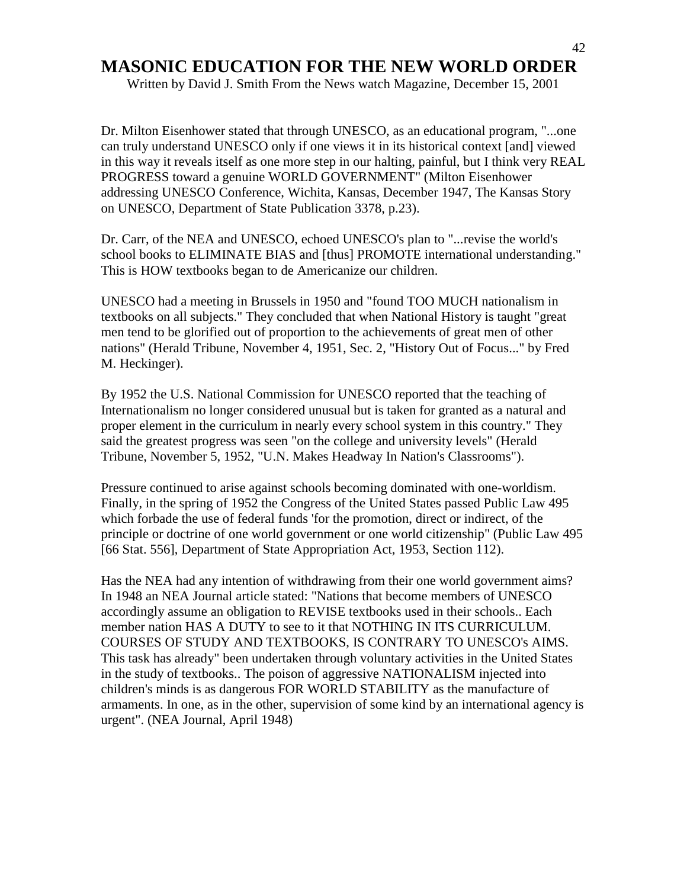Written by David J. Smith From the News watch Magazine, December 15, 2001

Dr. Milton Eisenhower stated that through UNESCO, as an educational program, "...one can truly understand UNESCO only if one views it in its historical context [and] viewed in this way it reveals itself as one more step in our halting, painful, but I think very REAL PROGRESS toward a genuine WORLD GOVERNMENT" (Milton Eisenhower addressing UNESCO Conference, Wichita, Kansas, December 1947, The Kansas Story on UNESCO, Department of State Publication 3378, p.23).

Dr. Carr, of the NEA and UNESCO, echoed UNESCO's plan to "...revise the world's school books to ELIMINATE BIAS and [thus] PROMOTE international understanding." This is HOW textbooks began to de Americanize our children.

UNESCO had a meeting in Brussels in 1950 and "found TOO MUCH nationalism in textbooks on all subjects." They concluded that when National History is taught "great men tend to be glorified out of proportion to the achievements of great men of other nations" (Herald Tribune, November 4, 1951, Sec. 2, "History Out of Focus..." by Fred M. Heckinger).

By 1952 the U.S. National Commission for UNESCO reported that the teaching of Internationalism no longer considered unusual but is taken for granted as a natural and proper element in the curriculum in nearly every school system in this country." They said the greatest progress was seen "on the college and university levels" (Herald Tribune, November 5, 1952, "U.N. Makes Headway In Nation's Classrooms").

Pressure continued to arise against schools becoming dominated with one-worldism. Finally, in the spring of 1952 the Congress of the United States passed Public Law 495 which forbade the use of federal funds 'for the promotion, direct or indirect, of the principle or doctrine of one world government or one world citizenship" (Public Law 495 [66 Stat. 556], Department of State Appropriation Act, 1953, Section 112).

Has the NEA had any intention of withdrawing from their one world government aims? In 1948 an NEA Journal article stated: "Nations that become members of UNESCO accordingly assume an obligation to REVISE textbooks used in their schools.. Each member nation HAS A DUTY to see to it that NOTHING IN ITS CURRICULUM. COURSES OF STUDY AND TEXTBOOKS, IS CONTRARY TO UNESCO's AIMS. This task has already" been undertaken through voluntary activities in the United States in the study of textbooks.. The poison of aggressive NATIONALISM injected into children's minds is as dangerous FOR WORLD STABILITY as the manufacture of armaments. In one, as in the other, supervision of some kind by an international agency is urgent". (NEA Journal, April 1948)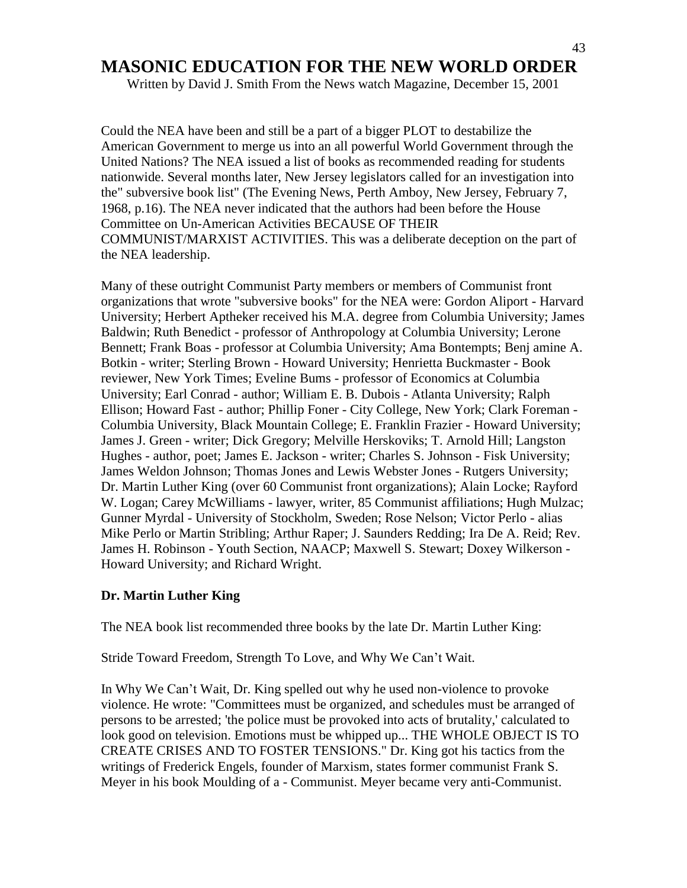Written by David J. Smith From the News watch Magazine, December 15, 2001

Could the NEA have been and still be a part of a bigger PLOT to destabilize the American Government to merge us into an all powerful World Government through the United Nations? The NEA issued a list of books as recommended reading for students nationwide. Several months later, New Jersey legislators called for an investigation into the" subversive book list" (The Evening News, Perth Amboy, New Jersey, February 7, 1968, p.16). The NEA never indicated that the authors had been before the House Committee on Un-American Activities BECAUSE OF THEIR COMMUNIST/MARXIST ACTIVITIES. This was a deliberate deception on the part of the NEA leadership.

Many of these outright Communist Party members or members of Communist front organizations that wrote "subversive books" for the NEA were: Gordon Aliport - Harvard University; Herbert Aptheker received his M.A. degree from Columbia University; James Baldwin; Ruth Benedict - professor of Anthropology at Columbia University; Lerone Bennett; Frank Boas - professor at Columbia University; Ama Bontempts; Benj amine A. Botkin - writer; Sterling Brown - Howard University; Henrietta Buckmaster - Book reviewer, New York Times; Eveline Bums - professor of Economics at Columbia University; Earl Conrad - author; William E. B. Dubois - Atlanta University; Ralph Ellison; Howard Fast - author; Phillip Foner - City College, New York; Clark Foreman - Columbia University, Black Mountain College; E. Franklin Frazier - Howard University; James J. Green - writer; Dick Gregory; Melville Herskoviks; T. Arnold Hill; Langston Hughes - author, poet; James E. Jackson - writer; Charles S. Johnson - Fisk University; James Weldon Johnson; Thomas Jones and Lewis Webster Jones - Rutgers University; Dr. Martin Luther King (over 60 Communist front organizations); Alain Locke; Rayford W. Logan; Carey McWilliams - lawyer, writer, 85 Communist affiliations; Hugh Mulzac; Gunner Myrdal - University of Stockholm, Sweden; Rose Nelson; Victor Perlo - alias Mike Perlo or Martin Stribling; Arthur Raper; J. Saunders Redding; Ira De A. Reid; Rev. James H. Robinson - Youth Section, NAACP; Maxwell S. Stewart; Doxey Wilkerson - Howard University; and Richard Wright.

#### **Dr. Martin Luther King**

The NEA book list recommended three books by the late Dr. Martin Luther King:

Stride Toward Freedom, Strength To Love, and Why We Can"t Wait.

In Why We Can"t Wait, Dr. King spelled out why he used non-violence to provoke violence. He wrote: "Committees must be organized, and schedules must be arranged of persons to be arrested; 'the police must be provoked into acts of brutality,' calculated to look good on television. Emotions must be whipped up... THE WHOLE OBJECT IS TO CREATE CRISES AND TO FOSTER TENSIONS." Dr. King got his tactics from the writings of Frederick Engels, founder of Marxism, states former communist Frank S. Meyer in his book Moulding of a - Communist. Meyer became very anti-Communist.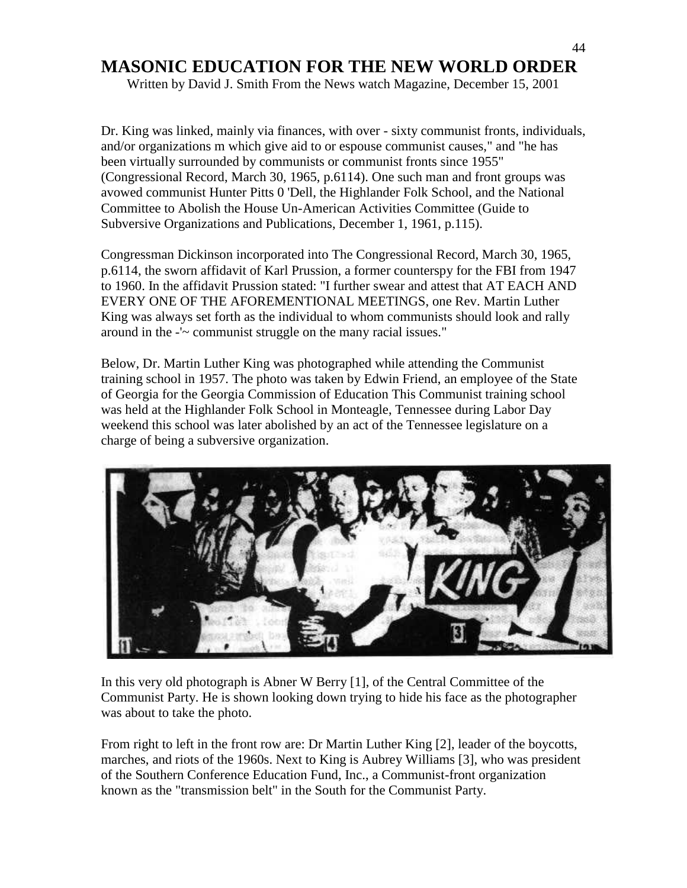Written by David J. Smith From the News watch Magazine, December 15, 2001

Dr. King was linked, mainly via finances, with over - sixty communist fronts, individuals, and/or organizations m which give aid to or espouse communist causes," and "he has been virtually surrounded by communists or communist fronts since 1955" (Congressional Record, March 30, 1965, p.6114). One such man and front groups was avowed communist Hunter Pitts 0 'Dell, the Highlander Folk School, and the National Committee to Abolish the House Un-American Activities Committee (Guide to Subversive Organizations and Publications, December 1, 1961, p.115).

Congressman Dickinson incorporated into The Congressional Record, March 30, 1965, p.6114, the sworn affidavit of Karl Prussion, a former counterspy for the FBI from 1947 to 1960. In the affidavit Prussion stated: "I further swear and attest that AT EACH AND EVERY ONE OF THE AFOREMENTIONAL MEETINGS, one Rev. Martin Luther King was always set forth as the individual to whom communists should look and rally around in the -'~ communist struggle on the many racial issues."

Below, Dr. Martin Luther King was photographed while attending the Communist training school in 1957. The photo was taken by Edwin Friend, an employee of the State of Georgia for the Georgia Commission of Education This Communist training school was held at the Highlander Folk School in Monteagle, Tennessee during Labor Day weekend this school was later abolished by an act of the Tennessee legislature on a charge of being a subversive organization.



In this very old photograph is Abner W Berry [1], of the Central Committee of the Communist Party. He is shown looking down trying to hide his face as the photographer was about to take the photo.

From right to left in the front row are: Dr Martin Luther King [2], leader of the boycotts, marches, and riots of the 1960s. Next to King is Aubrey Williams [3], who was president of the Southern Conference Education Fund, Inc., a Communist-front organization known as the "transmission belt" in the South for the Communist Party.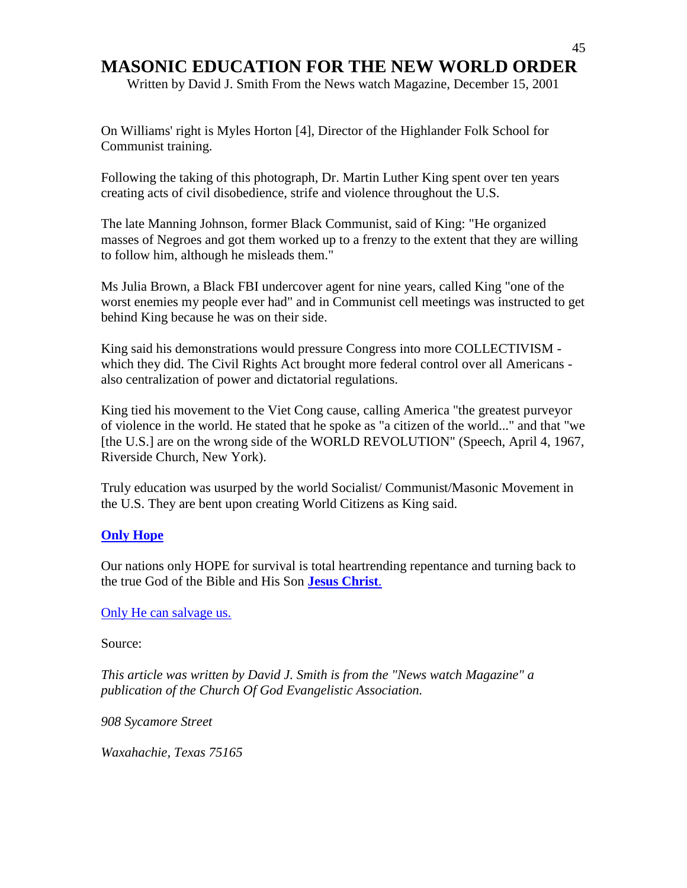Written by David J. Smith From the News watch Magazine, December 15, 2001

On Williams' right is Myles Horton [4], Director of the Highlander Folk School for Communist training.

Following the taking of this photograph, Dr. Martin Luther King spent over ten years creating acts of civil disobedience, strife and violence throughout the U.S.

The late Manning Johnson, former Black Communist, said of King: "He organized masses of Negroes and got them worked up to a frenzy to the extent that they are willing to follow him, although he misleads them."

Ms Julia Brown, a Black FBI undercover agent for nine years, called King "one of the worst enemies my people ever had" and in Communist cell meetings was instructed to get behind King because he was on their side.

King said his demonstrations would pressure Congress into more COLLECTIVISM which they did. The Civil Rights Act brought more federal control over all Americans also centralization of power and dictatorial regulations.

King tied his movement to the Viet Cong cause, calling America "the greatest purveyor of violence in the world. He stated that he spoke as "a citizen of the world..." and that "we [the U.S.] are on the wrong side of the WORLD REVOLUTION" (Speech, April 4, 1967, Riverside Church, New York).

Truly education was usurped by the world Socialist/ Communist/Masonic Movement in the U.S. They are bent upon creating World Citizens as King said.

#### **[Only Hope](http://www.angelfire.com/music2/fullcircle/Reflection.html)**

Our nations only HOPE for survival is total heartrending repentance and turning back to the true God of the Bible and His Son **[Jesus Christ](http://www.angelfire.com/music2/fullcircle/Reflection.html)**.

#### [Only He can salvage us.](http://www.angelfire.com/music2/fullcircle/Reflection.html)

Source:

*This article was written by David J. Smith is from the "News watch Magazine" a publication of the Church Of God Evangelistic Association.* 

*908 Sycamore Street* 

*Waxahachie, Texas 75165*